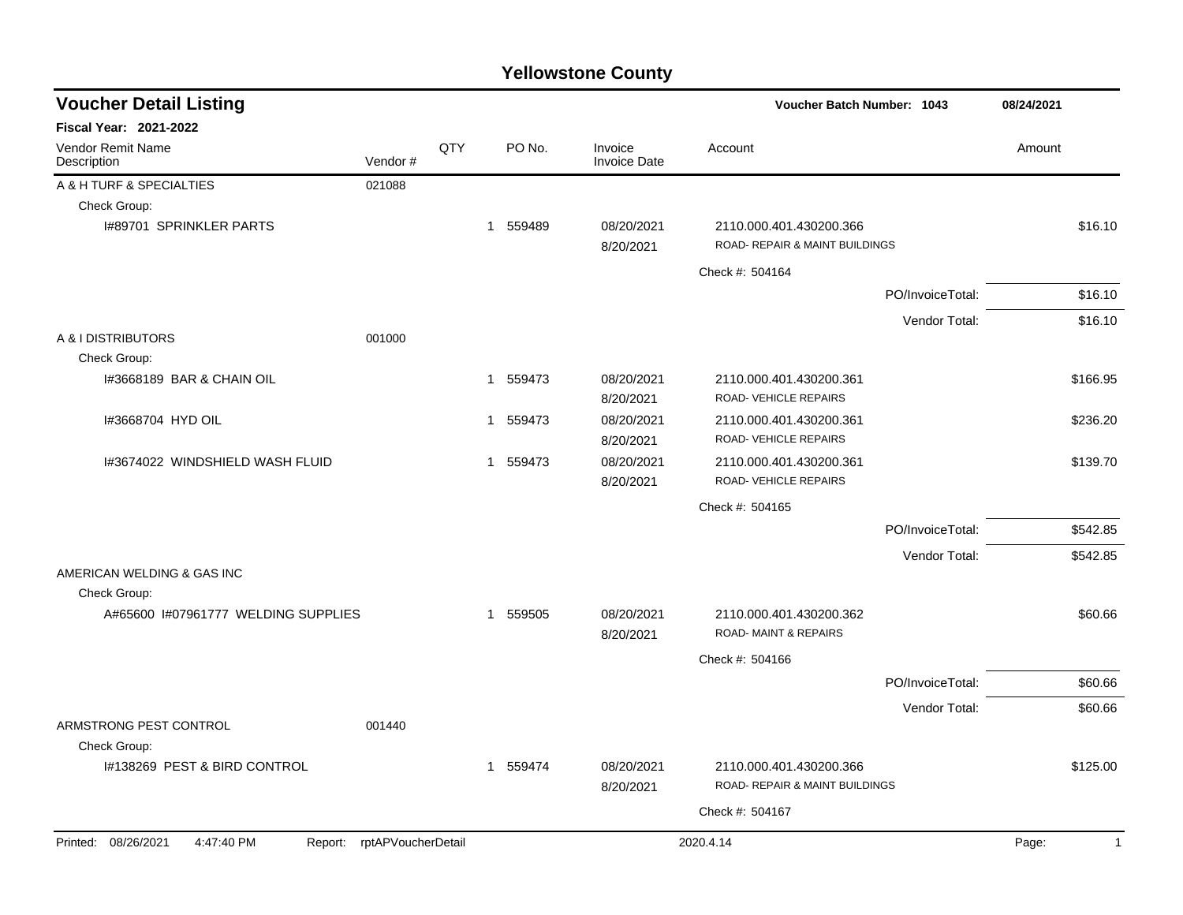| <b>Voucher Detail Listing</b>                                   |     |          |                                | <b>Voucher Batch Number: 1043</b>                          |                  |            |  |
|-----------------------------------------------------------------|-----|----------|--------------------------------|------------------------------------------------------------|------------------|------------|--|
| <b>Fiscal Year: 2021-2022</b>                                   |     |          |                                |                                                            |                  |            |  |
| Vendor Remit Name<br>Vendor#<br>Description                     | QTY | PO No.   | Invoice<br><b>Invoice Date</b> | Account                                                    |                  | Amount     |  |
| A & H TURF & SPECIALTIES<br>021088                              |     |          |                                |                                                            |                  |            |  |
| Check Group:                                                    |     |          |                                |                                                            |                  |            |  |
| I#89701 SPRINKLER PARTS                                         |     | 1 559489 | 08/20/2021<br>8/20/2021        | 2110.000.401.430200.366<br>ROAD- REPAIR & MAINT BUILDINGS  |                  | \$16.10    |  |
|                                                                 |     |          |                                | Check #: 504164                                            |                  |            |  |
|                                                                 |     |          |                                |                                                            | PO/InvoiceTotal: | \$16.10    |  |
|                                                                 |     |          |                                |                                                            | Vendor Total:    | \$16.10    |  |
| A & I DISTRIBUTORS<br>001000<br>Check Group:                    |     |          |                                |                                                            |                  |            |  |
| 1#3668189 BAR & CHAIN OIL                                       |     | 1 559473 | 08/20/2021<br>8/20/2021        | 2110.000.401.430200.361<br>ROAD-VEHICLE REPAIRS            |                  | \$166.95   |  |
| I#3668704 HYD OIL                                               |     | 1 559473 | 08/20/2021<br>8/20/2021        | 2110.000.401.430200.361<br>ROAD-VEHICLE REPAIRS            |                  | \$236.20   |  |
| I#3674022 WINDSHIELD WASH FLUID                                 |     | 1 559473 | 08/20/2021<br>8/20/2021        | 2110.000.401.430200.361<br>ROAD-VEHICLE REPAIRS            |                  | \$139.70   |  |
|                                                                 |     |          |                                | Check #: 504165                                            |                  |            |  |
|                                                                 |     |          |                                |                                                            | PO/InvoiceTotal: | \$542.85   |  |
|                                                                 |     |          |                                |                                                            | Vendor Total:    | \$542.85   |  |
| AMERICAN WELDING & GAS INC<br>Check Group:                      |     |          |                                |                                                            |                  |            |  |
| A#65600 I#07961777 WELDING SUPPLIES                             |     | 1 559505 | 08/20/2021<br>8/20/2021        | 2110.000.401.430200.362<br><b>ROAD-MAINT &amp; REPAIRS</b> |                  | \$60.66    |  |
|                                                                 |     |          |                                | Check #: 504166                                            |                  |            |  |
|                                                                 |     |          |                                |                                                            | PO/InvoiceTotal: | \$60.66    |  |
|                                                                 |     |          |                                |                                                            | Vendor Total:    | \$60.66    |  |
| ARMSTRONG PEST CONTROL<br>001440<br>Check Group:                |     |          |                                |                                                            |                  |            |  |
| I#138269 PEST & BIRD CONTROL                                    |     | 1 559474 | 08/20/2021<br>8/20/2021        | 2110.000.401.430200.366<br>ROAD- REPAIR & MAINT BUILDINGS  |                  | \$125.00   |  |
|                                                                 |     |          |                                | Check #: 504167                                            |                  |            |  |
| Printed: 08/26/2021<br>4:47:40 PM<br>Report: rptAPVoucherDetail |     |          |                                | 2020.4.14                                                  |                  | Page:<br>1 |  |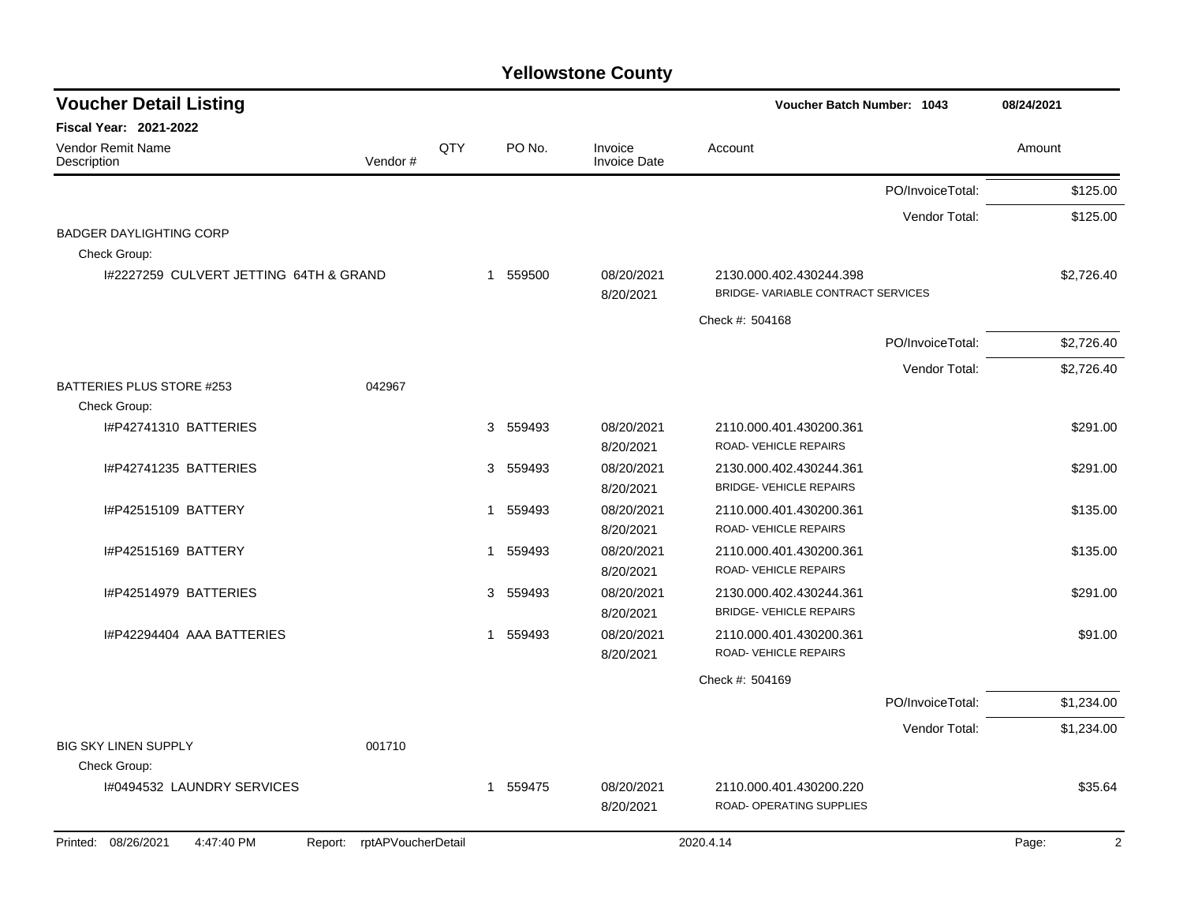| <b>Voucher Detail Listing</b>          |                               |              |             |                                | Voucher Batch Number: 1043                                   |                  | 08/24/2021 |
|----------------------------------------|-------------------------------|--------------|-------------|--------------------------------|--------------------------------------------------------------|------------------|------------|
| <b>Fiscal Year: 2021-2022</b>          |                               |              |             |                                |                                                              |                  |            |
| Vendor Remit Name<br>Description       | Vendor#                       | QTY          | PO No.      | Invoice<br><b>Invoice Date</b> | Account                                                      |                  | Amount     |
|                                        |                               |              |             |                                |                                                              | PO/InvoiceTotal: | \$125.00   |
|                                        |                               |              |             |                                |                                                              | Vendor Total:    | \$125.00   |
| <b>BADGER DAYLIGHTING CORP</b>         |                               |              |             |                                |                                                              |                  |            |
| Check Group:                           |                               |              |             |                                |                                                              |                  |            |
| 1#2227259 CULVERT JETTING 64TH & GRAND |                               |              | 1 559500    | 08/20/2021<br>8/20/2021        | 2130.000.402.430244.398<br>BRIDGE-VARIABLE CONTRACT SERVICES |                  | \$2,726.40 |
|                                        |                               |              |             |                                | Check #: 504168                                              |                  |            |
|                                        |                               |              |             |                                |                                                              | PO/InvoiceTotal: | \$2,726.40 |
|                                        |                               |              |             |                                |                                                              | Vendor Total:    | \$2,726.40 |
| BATTERIES PLUS STORE #253              | 042967                        |              |             |                                |                                                              |                  |            |
| Check Group:                           |                               |              |             |                                |                                                              |                  |            |
| I#P42741310 BATTERIES                  |                               |              | 3 559493    | 08/20/2021                     | 2110.000.401.430200.361                                      |                  | \$291.00   |
|                                        |                               |              |             | 8/20/2021                      | ROAD-VEHICLE REPAIRS                                         |                  |            |
| I#P42741235 BATTERIES                  |                               |              | 3 559493    | 08/20/2021                     | 2130.000.402.430244.361                                      |                  | \$291.00   |
|                                        |                               |              |             | 8/20/2021                      | <b>BRIDGE- VEHICLE REPAIRS</b>                               |                  |            |
| I#P42515109 BATTERY                    |                               | 1            | 559493      | 08/20/2021                     | 2110.000.401.430200.361                                      |                  | \$135.00   |
|                                        |                               |              |             | 8/20/2021                      | ROAD-VEHICLE REPAIRS                                         |                  |            |
| I#P42515169 BATTERY                    |                               | $\mathbf{1}$ | 559493      | 08/20/2021<br>8/20/2021        | 2110.000.401.430200.361<br>ROAD- VEHICLE REPAIRS             |                  | \$135.00   |
| I#P42514979 BATTERIES                  |                               |              | 559493<br>3 | 08/20/2021                     | 2130.000.402.430244.361                                      |                  | \$291.00   |
|                                        |                               |              |             | 8/20/2021                      | <b>BRIDGE- VEHICLE REPAIRS</b>                               |                  |            |
| I#P42294404 AAA BATTERIES              |                               |              | 1 559493    | 08/20/2021                     | 2110.000.401.430200.361                                      |                  | \$91.00    |
|                                        |                               |              |             | 8/20/2021                      | ROAD- VEHICLE REPAIRS                                        |                  |            |
|                                        |                               |              |             |                                | Check #: 504169                                              |                  |            |
|                                        |                               |              |             |                                |                                                              | PO/InvoiceTotal: | \$1,234.00 |
|                                        |                               |              |             |                                |                                                              | Vendor Total:    | \$1,234.00 |
| <b>BIG SKY LINEN SUPPLY</b>            | 001710                        |              |             |                                |                                                              |                  |            |
| Check Group:                           |                               |              |             |                                |                                                              |                  |            |
| 1#0494532 LAUNDRY SERVICES             |                               |              | 1 559475    | 08/20/2021                     | 2110.000.401.430200.220                                      |                  | \$35.64    |
|                                        |                               |              |             | 8/20/2021                      | <b>ROAD- OPERATING SUPPLIES</b>                              |                  |            |
| 08/26/2021<br>4:47:40 PM<br>Printed:   | rptAPVoucherDetail<br>Report: |              |             |                                | 2020.4.14                                                    |                  | Page:<br>2 |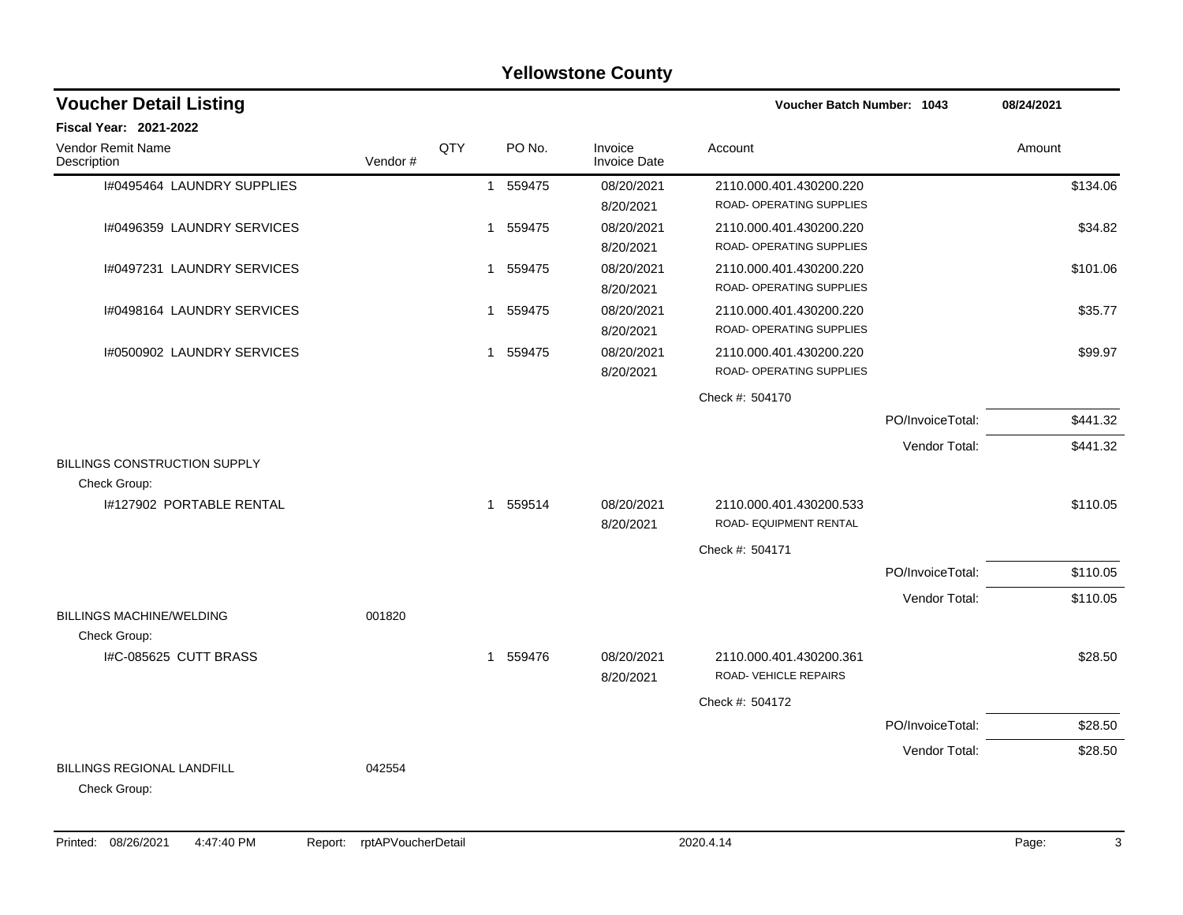|                                                   |         |     |             | <b>Yellowstone County</b>      |                                                     |                  |            |
|---------------------------------------------------|---------|-----|-------------|--------------------------------|-----------------------------------------------------|------------------|------------|
| <b>Voucher Detail Listing</b>                     |         |     |             |                                | <b>Voucher Batch Number: 1043</b>                   |                  | 08/24/2021 |
| Fiscal Year: 2021-2022                            |         |     |             |                                |                                                     |                  |            |
| Vendor Remit Name<br>Description                  | Vendor# | QTY | PO No.      | Invoice<br><b>Invoice Date</b> | Account                                             |                  | Amount     |
| I#0495464 LAUNDRY SUPPLIES                        |         |     | 1 559475    | 08/20/2021<br>8/20/2021        | 2110.000.401.430200.220<br>ROAD- OPERATING SUPPLIES |                  | \$134.06   |
| I#0496359 LAUNDRY SERVICES                        |         |     | 1 559475    | 08/20/2021<br>8/20/2021        | 2110.000.401.430200.220<br>ROAD- OPERATING SUPPLIES |                  | \$34.82    |
| I#0497231 LAUNDRY SERVICES                        |         |     | 1 559475    | 08/20/2021<br>8/20/2021        | 2110.000.401.430200.220<br>ROAD- OPERATING SUPPLIES |                  | \$101.06   |
| I#0498164 LAUNDRY SERVICES                        |         |     | 1 559475    | 08/20/2021<br>8/20/2021        | 2110.000.401.430200.220<br>ROAD- OPERATING SUPPLIES |                  | \$35.77    |
| I#0500902 LAUNDRY SERVICES                        |         |     | 559475<br>1 | 08/20/2021<br>8/20/2021        | 2110.000.401.430200.220<br>ROAD- OPERATING SUPPLIES |                  | \$99.97    |
|                                                   |         |     |             |                                | Check #: 504170                                     |                  |            |
|                                                   |         |     |             |                                |                                                     | PO/InvoiceTotal: | \$441.32   |
|                                                   |         |     |             |                                |                                                     | Vendor Total:    | \$441.32   |
| BILLINGS CONSTRUCTION SUPPLY<br>Check Group:      |         |     |             |                                |                                                     |                  |            |
| 1#127902 PORTABLE RENTAL                          |         |     | 1 559514    | 08/20/2021<br>8/20/2021        | 2110.000.401.430200.533<br>ROAD- EQUIPMENT RENTAL   |                  | \$110.05   |
|                                                   |         |     |             |                                | Check #: 504171                                     |                  |            |
|                                                   |         |     |             |                                |                                                     | PO/InvoiceTotal: | \$110.05   |
| <b>BILLINGS MACHINE/WELDING</b>                   | 001820  |     |             |                                |                                                     | Vendor Total:    | \$110.05   |
| Check Group:<br>I#C-085625 CUTT BRASS             |         |     | 1 559476    | 08/20/2021<br>8/20/2021        | 2110.000.401.430200.361<br>ROAD-VEHICLE REPAIRS     |                  | \$28.50    |
|                                                   |         |     |             |                                | Check #: 504172                                     |                  |            |
|                                                   |         |     |             |                                |                                                     | PO/InvoiceTotal: | \$28.50    |
| <b>BILLINGS REGIONAL LANDFILL</b><br>Check Group: | 042554  |     |             |                                |                                                     | Vendor Total:    | \$28.50    |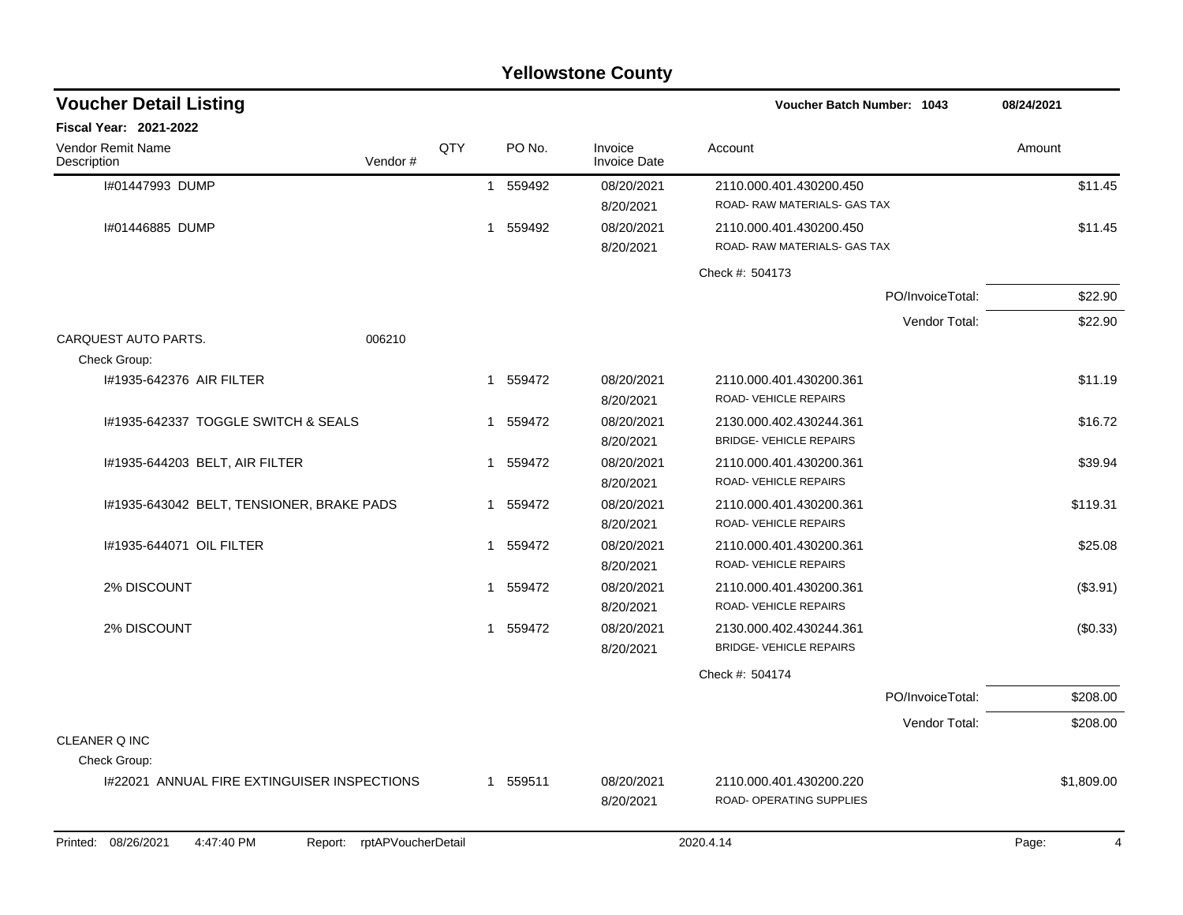|                                                                 |     |          | <b>Yellowstone County</b> |                                                           |            |
|-----------------------------------------------------------------|-----|----------|---------------------------|-----------------------------------------------------------|------------|
| <b>Voucher Detail Listing</b>                                   |     |          |                           | <b>Voucher Batch Number: 1043</b>                         | 08/24/2021 |
| Fiscal Year: 2021-2022                                          |     |          |                           |                                                           |            |
| Vendor Remit Name<br>Vendor#<br>Description                     | QTY | PO No.   | Invoice<br>Invoice Date   | Account                                                   | Amount     |
| I#01447993 DUMP                                                 | 1   | 559492   | 08/20/2021<br>8/20/2021   | 2110.000.401.430200.450<br>ROAD- RAW MATERIALS- GAS TAX   | \$11.45    |
| I#01446885 DUMP                                                 | 1   | 559492   | 08/20/2021<br>8/20/2021   | 2110.000.401.430200.450<br>ROAD- RAW MATERIALS- GAS TAX   | \$11.45    |
|                                                                 |     |          |                           | Check #: 504173                                           |            |
|                                                                 |     |          |                           | PO/InvoiceTotal:                                          | \$22.90    |
|                                                                 |     |          |                           | Vendor Total:                                             | \$22.90    |
| CARQUEST AUTO PARTS.<br>006210<br>Check Group:                  |     |          |                           |                                                           |            |
| #1935-642376 AIR FILTER                                         | 1   | 559472   | 08/20/2021<br>8/20/2021   | 2110.000.401.430200.361<br>ROAD-VEHICLE REPAIRS           | \$11.19    |
| I#1935-642337 TOGGLE SWITCH & SEALS                             | 1   | 559472   | 08/20/2021<br>8/20/2021   | 2130.000.402.430244.361<br><b>BRIDGE- VEHICLE REPAIRS</b> | \$16.72    |
| I#1935-644203 BELT, AIR FILTER                                  | 1   | 559472   | 08/20/2021<br>8/20/2021   | 2110.000.401.430200.361<br>ROAD-VEHICLE REPAIRS           | \$39.94    |
| I#1935-643042 BELT, TENSIONER, BRAKE PADS                       | 1   | 559472   | 08/20/2021<br>8/20/2021   | 2110.000.401.430200.361<br>ROAD-VEHICLE REPAIRS           | \$119.31   |
| I#1935-644071 OIL FILTER                                        | 1   | 559472   | 08/20/2021<br>8/20/2021   | 2110.000.401.430200.361<br>ROAD-VEHICLE REPAIRS           | \$25.08    |
| 2% DISCOUNT                                                     | 1   | 559472   | 08/20/2021<br>8/20/2021   | 2110.000.401.430200.361<br>ROAD-VEHICLE REPAIRS           | (\$3.91)   |
| 2% DISCOUNT                                                     | 1   | 559472   | 08/20/2021<br>8/20/2021   | 2130.000.402.430244.361<br><b>BRIDGE- VEHICLE REPAIRS</b> | (\$0.33)   |
|                                                                 |     |          |                           | Check #: 504174                                           |            |
|                                                                 |     |          |                           | PO/InvoiceTotal:                                          | \$208.00   |
|                                                                 |     |          |                           | Vendor Total:                                             | \$208.00   |
| CLEANER Q INC<br>Check Group:                                   |     |          |                           |                                                           |            |
| I#22021 ANNUAL FIRE EXTINGUISER INSPECTIONS                     |     | 1 559511 | 08/20/2021<br>8/20/2021   | 2110.000.401.430200.220<br>ROAD- OPERATING SUPPLIES       | \$1,809.00 |
| Printed: 08/26/2021<br>4:47:40 PM<br>Report: rptAPVoucherDetail |     |          |                           | 2020.4.14                                                 | Page:<br>4 |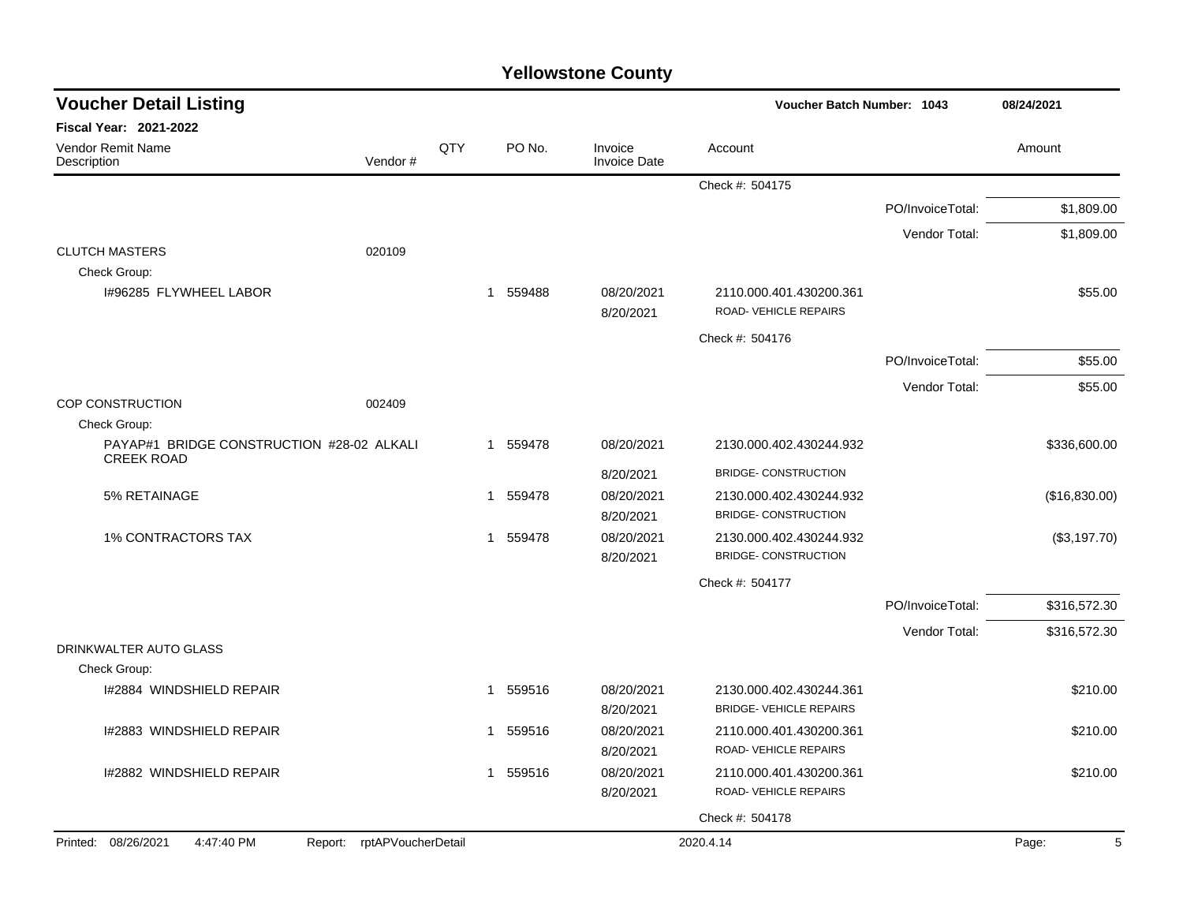| <b>Voucher Detail Listing</b>                                   |     |                        |                                | Voucher Batch Number: 1043                      |                  | 08/24/2021    |  |
|-----------------------------------------------------------------|-----|------------------------|--------------------------------|-------------------------------------------------|------------------|---------------|--|
| <b>Fiscal Year: 2021-2022</b>                                   |     |                        |                                |                                                 |                  |               |  |
| Vendor Remit Name<br>Vendor#<br>Description                     | QTY | PO No.                 | Invoice<br><b>Invoice Date</b> | Account                                         |                  | Amount        |  |
|                                                                 |     |                        |                                | Check #: 504175                                 |                  |               |  |
|                                                                 |     |                        |                                |                                                 | PO/InvoiceTotal: | \$1,809.00    |  |
|                                                                 |     |                        |                                |                                                 | Vendor Total:    | \$1,809.00    |  |
| <b>CLUTCH MASTERS</b><br>020109                                 |     |                        |                                |                                                 |                  |               |  |
| Check Group:                                                    |     |                        |                                |                                                 |                  |               |  |
| 1#96285 FLYWHEEL LABOR                                          |     | 1 559488               | 08/20/2021<br>8/20/2021        | 2110.000.401.430200.361<br>ROAD-VEHICLE REPAIRS |                  | \$55.00       |  |
|                                                                 |     |                        |                                | Check #: 504176                                 |                  |               |  |
|                                                                 |     |                        |                                |                                                 | PO/InvoiceTotal: | \$55.00       |  |
|                                                                 |     |                        |                                |                                                 | Vendor Total:    | \$55.00       |  |
| <b>COP CONSTRUCTION</b><br>002409                               |     |                        |                                |                                                 |                  |               |  |
| Check Group:<br>PAYAP#1 BRIDGE CONSTRUCTION #28-02 ALKALI       |     | 1 559478               | 08/20/2021                     | 2130.000.402.430244.932                         |                  |               |  |
| <b>CREEK ROAD</b>                                               |     |                        |                                |                                                 |                  | \$336,600.00  |  |
|                                                                 |     |                        | 8/20/2021                      | <b>BRIDGE- CONSTRUCTION</b>                     |                  |               |  |
| 5% RETAINAGE                                                    |     | 559478<br>$\mathbf{1}$ | 08/20/2021                     | 2130.000.402.430244.932                         |                  | (\$16,830.00) |  |
|                                                                 |     |                        | 8/20/2021                      | <b>BRIDGE- CONSTRUCTION</b>                     |                  |               |  |
| <b>1% CONTRACTORS TAX</b>                                       |     | 559478<br>$\mathbf{1}$ | 08/20/2021                     | 2130.000.402.430244.932                         |                  | (\$3,197.70)  |  |
|                                                                 |     |                        | 8/20/2021                      | <b>BRIDGE- CONSTRUCTION</b>                     |                  |               |  |
|                                                                 |     |                        |                                | Check #: 504177                                 |                  |               |  |
|                                                                 |     |                        |                                |                                                 | PO/InvoiceTotal: | \$316,572.30  |  |
|                                                                 |     |                        |                                |                                                 | Vendor Total:    | \$316,572.30  |  |
| DRINKWALTER AUTO GLASS<br>Check Group:                          |     |                        |                                |                                                 |                  |               |  |
| I#2884 WINDSHIELD REPAIR                                        |     | 1 559516               | 08/20/2021                     | 2130.000.402.430244.361                         |                  | \$210.00      |  |
|                                                                 |     |                        | 8/20/2021                      | <b>BRIDGE- VEHICLE REPAIRS</b>                  |                  |               |  |
| I#2883 WINDSHIELD REPAIR                                        |     | 559516<br>$\mathbf{1}$ | 08/20/2021                     | 2110.000.401.430200.361                         |                  | \$210.00      |  |
|                                                                 |     |                        | 8/20/2021                      | ROAD-VEHICLE REPAIRS                            |                  |               |  |
| I#2882 WINDSHIELD REPAIR                                        |     | 559516<br>1            | 08/20/2021                     | 2110.000.401.430200.361                         |                  | \$210.00      |  |
|                                                                 |     |                        | 8/20/2021                      | ROAD-VEHICLE REPAIRS                            |                  |               |  |
|                                                                 |     |                        |                                | Check #: 504178                                 |                  |               |  |
| Printed: 08/26/2021<br>Report: rptAPVoucherDetail<br>4:47:40 PM |     |                        |                                | 2020.4.14                                       |                  | Page:<br>5    |  |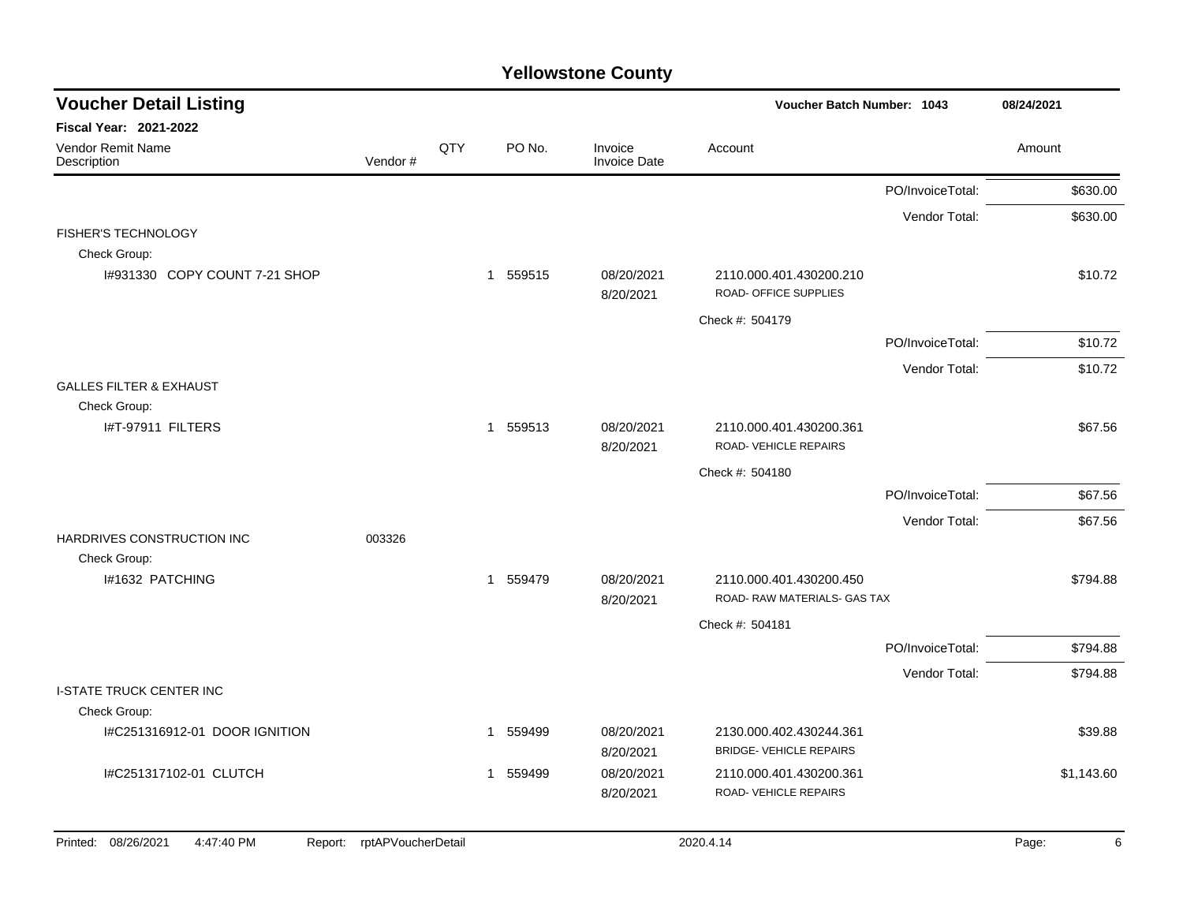| <b>Voucher Detail Listing</b>                |                    |     | Voucher Batch Number: 1043 |                                | 08/24/2021                                                |                  |            |   |
|----------------------------------------------|--------------------|-----|----------------------------|--------------------------------|-----------------------------------------------------------|------------------|------------|---|
| Fiscal Year: 2021-2022                       |                    |     |                            |                                |                                                           |                  |            |   |
| Vendor Remit Name<br>Description             | Vendor#            | QTY | PO No.                     | Invoice<br><b>Invoice Date</b> | Account                                                   |                  | Amount     |   |
|                                              |                    |     |                            |                                |                                                           | PO/InvoiceTotal: | \$630.00   |   |
| <b>FISHER'S TECHNOLOGY</b>                   |                    |     |                            |                                |                                                           | Vendor Total:    | \$630.00   |   |
| Check Group:                                 |                    |     |                            |                                |                                                           |                  |            |   |
| I#931330 COPY COUNT 7-21 SHOP                |                    |     | 1 559515                   | 08/20/2021<br>8/20/2021        | 2110.000.401.430200.210<br>ROAD- OFFICE SUPPLIES          |                  | \$10.72    |   |
|                                              |                    |     |                            |                                | Check #: 504179                                           |                  |            |   |
|                                              |                    |     |                            |                                |                                                           | PO/InvoiceTotal: | \$10.72    |   |
|                                              |                    |     |                            |                                |                                                           | Vendor Total:    | \$10.72    |   |
| <b>GALLES FILTER &amp; EXHAUST</b>           |                    |     |                            |                                |                                                           |                  |            |   |
| Check Group:<br>I#T-97911 FILTERS            |                    |     | 1 559513                   | 08/20/2021<br>8/20/2021        | 2110.000.401.430200.361<br><b>ROAD-VEHICLE REPAIRS</b>    |                  | \$67.56    |   |
|                                              |                    |     |                            |                                | Check #: 504180                                           |                  |            |   |
|                                              |                    |     |                            |                                |                                                           | PO/InvoiceTotal: | \$67.56    |   |
|                                              |                    |     |                            |                                |                                                           | Vendor Total:    | \$67.56    |   |
| HARDRIVES CONSTRUCTION INC<br>Check Group:   | 003326             |     |                            |                                |                                                           |                  |            |   |
| I#1632 PATCHING                              |                    |     | 1 559479                   | 08/20/2021<br>8/20/2021        | 2110.000.401.430200.450<br>ROAD-RAW MATERIALS- GAS TAX    |                  | \$794.88   |   |
|                                              |                    |     |                            |                                | Check #: 504181                                           |                  |            |   |
|                                              |                    |     |                            |                                |                                                           | PO/InvoiceTotal: | \$794.88   |   |
|                                              |                    |     |                            |                                |                                                           | Vendor Total:    | \$794.88   |   |
| <b>I-STATE TRUCK CENTER INC</b>              |                    |     |                            |                                |                                                           |                  |            |   |
| Check Group:                                 |                    |     |                            |                                |                                                           |                  |            |   |
| I#C251316912-01 DOOR IGNITION                |                    |     | 1 559499                   | 08/20/2021<br>8/20/2021        | 2130.000.402.430244.361<br><b>BRIDGE- VEHICLE REPAIRS</b> |                  | \$39.88    |   |
| I#C251317102-01 CLUTCH                       |                    |     | 559499<br>1                | 08/20/2021<br>8/20/2021        | 2110.000.401.430200.361<br><b>ROAD-VEHICLE REPAIRS</b>    |                  | \$1,143.60 |   |
| Printed: 08/26/2021<br>4:47:40 PM<br>Report: | rptAPVoucherDetail |     |                            |                                | 2020.4.14                                                 |                  | Page:      | 6 |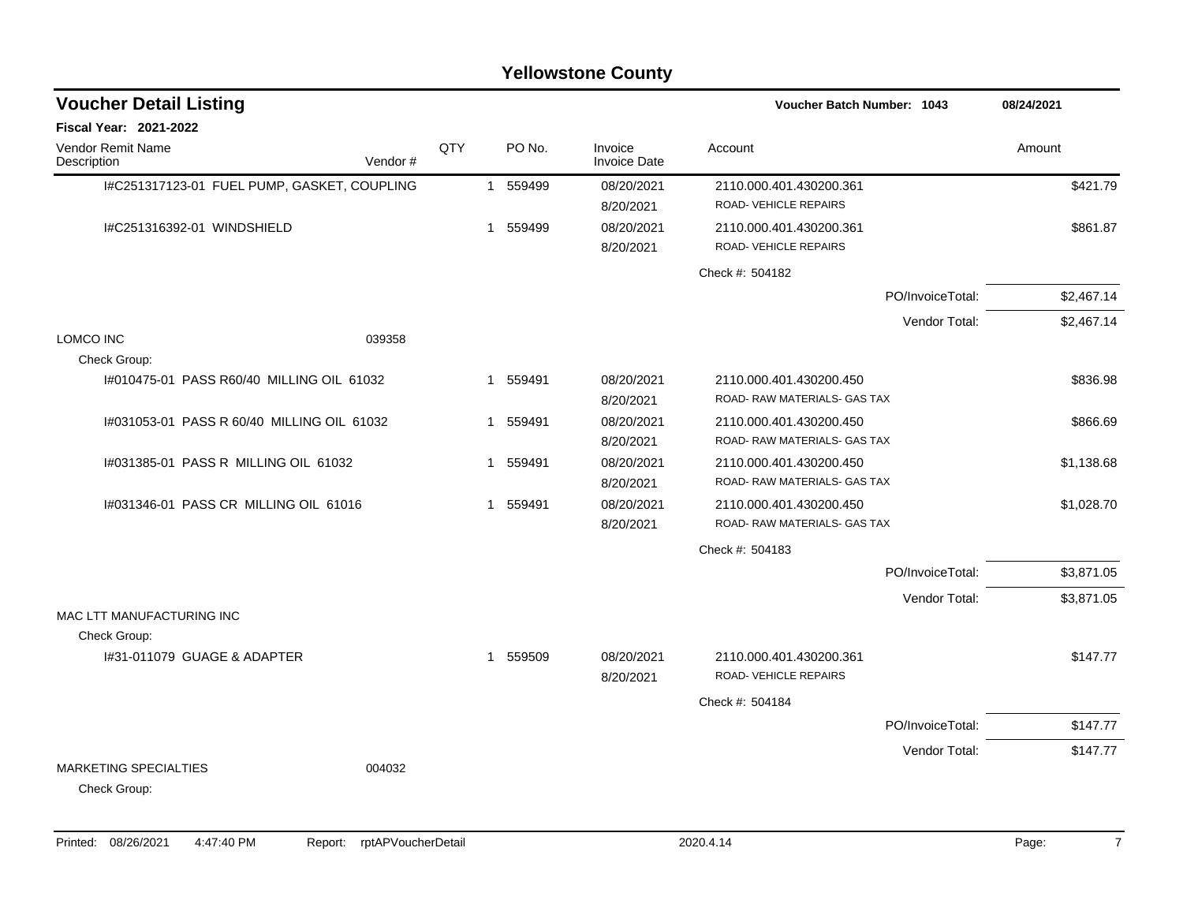| <b>Voucher Detail Listing</b>                |         |     |                |          |                                | <b>Voucher Batch Number: 1043</b>                       |                  | 08/24/2021 |  |
|----------------------------------------------|---------|-----|----------------|----------|--------------------------------|---------------------------------------------------------|------------------|------------|--|
| <b>Fiscal Year: 2021-2022</b>                |         |     |                |          |                                |                                                         |                  |            |  |
| <b>Vendor Remit Name</b><br>Description      | Vendor# | QTY |                | PO No.   | Invoice<br><b>Invoice Date</b> | Account                                                 |                  | Amount     |  |
| I#C251317123-01 FUEL PUMP, GASKET, COUPLING  |         |     | $\overline{1}$ | 559499   | 08/20/2021<br>8/20/2021        | 2110.000.401.430200.361<br>ROAD-VEHICLE REPAIRS         |                  | \$421.79   |  |
| I#C251316392-01 WINDSHIELD                   |         |     |                | 1 559499 | 08/20/2021<br>8/20/2021        | 2110.000.401.430200.361<br>ROAD-VEHICLE REPAIRS         |                  | \$861.87   |  |
|                                              |         |     |                |          |                                | Check #: 504182                                         |                  |            |  |
|                                              |         |     |                |          |                                |                                                         | PO/InvoiceTotal: | \$2,467.14 |  |
|                                              |         |     |                |          |                                |                                                         | Vendor Total:    | \$2,467.14 |  |
| <b>LOMCO INC</b><br>Check Group:             | 039358  |     |                |          |                                |                                                         |                  |            |  |
| 1#010475-01 PASS R60/40 MILLING OIL 61032    |         |     | $\mathbf 1$    | 559491   | 08/20/2021<br>8/20/2021        | 2110.000.401.430200.450<br>ROAD-RAW MATERIALS- GAS TAX  |                  | \$836.98   |  |
| I#031053-01 PASS R 60/40 MILLING OIL 61032   |         |     |                | 1 559491 | 08/20/2021<br>8/20/2021        | 2110.000.401.430200.450<br>ROAD-RAW MATERIALS-GAS TAX   |                  | \$866.69   |  |
| 1#031385-01 PASS R MILLING OIL 61032         |         |     |                | 1 559491 | 08/20/2021<br>8/20/2021        | 2110.000.401.430200.450<br>ROAD-RAW MATERIALS- GAS TAX  |                  | \$1,138.68 |  |
| 1#031346-01 PASS CR MILLING OIL 61016        |         |     | $\mathbf 1$    | 559491   | 08/20/2021<br>8/20/2021        | 2110.000.401.430200.450<br>ROAD-RAW MATERIALS- GAS TAX  |                  | \$1,028.70 |  |
|                                              |         |     |                |          |                                | Check #: 504183                                         |                  |            |  |
|                                              |         |     |                |          |                                |                                                         | PO/InvoiceTotal: | \$3,871.05 |  |
| MAC LTT MANUFACTURING INC                    |         |     |                |          |                                |                                                         | Vendor Total:    | \$3,871.05 |  |
| Check Group:                                 |         |     |                |          |                                |                                                         |                  |            |  |
| I#31-011079 GUAGE & ADAPTER                  |         |     |                | 1 559509 | 08/20/2021<br>8/20/2021        | 2110.000.401.430200.361<br><b>ROAD- VEHICLE REPAIRS</b> |                  | \$147.77   |  |
|                                              |         |     |                |          |                                | Check #: 504184                                         |                  |            |  |
|                                              |         |     |                |          |                                |                                                         | PO/InvoiceTotal: | \$147.77   |  |
|                                              |         |     |                |          |                                |                                                         | Vendor Total:    | \$147.77   |  |
| <b>MARKETING SPECIALTIES</b><br>Check Group: | 004032  |     |                |          |                                |                                                         |                  |            |  |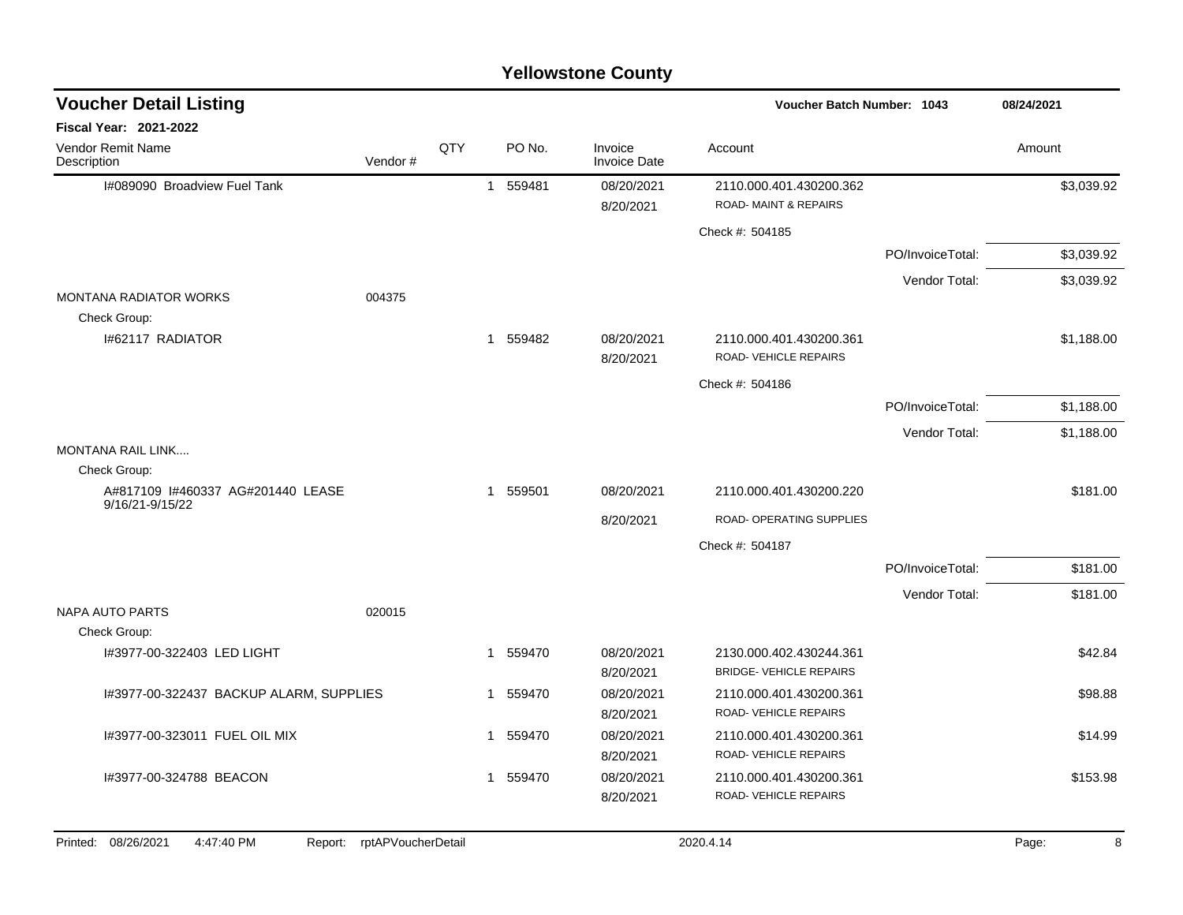| <b>Voucher Detail Listing</b>                     |                    |     |  |          |                                | Voucher Batch Number: 1043                                 |                  | 08/24/2021 |
|---------------------------------------------------|--------------------|-----|--|----------|--------------------------------|------------------------------------------------------------|------------------|------------|
| <b>Fiscal Year: 2021-2022</b>                     |                    |     |  |          |                                |                                                            |                  |            |
| Vendor Remit Name<br>Description                  | Vendor#            | QTY |  | PO No.   | Invoice<br><b>Invoice Date</b> | Account                                                    |                  | Amount     |
| I#089090 Broadview Fuel Tank                      |                    |     |  | 1 559481 | 08/20/2021<br>8/20/2021        | 2110.000.401.430200.362<br><b>ROAD-MAINT &amp; REPAIRS</b> |                  | \$3,039.92 |
|                                                   |                    |     |  |          |                                | Check #: 504185                                            |                  |            |
|                                                   |                    |     |  |          |                                |                                                            | PO/InvoiceTotal: | \$3,039.92 |
|                                                   |                    |     |  |          |                                |                                                            | Vendor Total:    | \$3,039.92 |
| <b>MONTANA RADIATOR WORKS</b><br>Check Group:     | 004375             |     |  |          |                                |                                                            |                  |            |
| I#62117 RADIATOR                                  |                    |     |  | 1 559482 | 08/20/2021<br>8/20/2021        | 2110.000.401.430200.361<br>ROAD- VEHICLE REPAIRS           |                  | \$1,188.00 |
|                                                   |                    |     |  |          |                                | Check #: 504186                                            |                  |            |
|                                                   |                    |     |  |          |                                |                                                            | PO/InvoiceTotal: | \$1,188.00 |
|                                                   |                    |     |  |          |                                |                                                            | Vendor Total:    | \$1,188.00 |
| <b>MONTANA RAIL LINK</b>                          |                    |     |  |          |                                |                                                            |                  |            |
| Check Group:<br>A#817109 I#460337 AG#201440 LEASE |                    |     |  |          | 08/20/2021                     | 2110.000.401.430200.220                                    |                  | \$181.00   |
| 9/16/21-9/15/22                                   |                    |     |  | 1 559501 |                                |                                                            |                  |            |
|                                                   |                    |     |  |          | 8/20/2021                      | ROAD- OPERATING SUPPLIES                                   |                  |            |
|                                                   |                    |     |  |          |                                | Check #: 504187                                            |                  |            |
|                                                   |                    |     |  |          |                                |                                                            | PO/InvoiceTotal: | \$181.00   |
| <b>NAPA AUTO PARTS</b>                            | 020015             |     |  |          |                                |                                                            | Vendor Total:    | \$181.00   |
| Check Group:                                      |                    |     |  |          |                                |                                                            |                  |            |
| I#3977-00-322403 LED LIGHT                        |                    |     |  | 1 559470 | 08/20/2021<br>8/20/2021        | 2130.000.402.430244.361<br><b>BRIDGE- VEHICLE REPAIRS</b>  |                  | \$42.84    |
| I#3977-00-322437 BACKUP ALARM, SUPPLIES           |                    |     |  | 1 559470 | 08/20/2021<br>8/20/2021        | 2110.000.401.430200.361<br>ROAD-VEHICLE REPAIRS            |                  | \$98.88    |
| I#3977-00-323011 FUEL OIL MIX                     |                    |     |  | 1 559470 | 08/20/2021<br>8/20/2021        | 2110.000.401.430200.361<br>ROAD-VEHICLE REPAIRS            |                  | \$14.99    |
| I#3977-00-324788 BEACON                           |                    |     |  | 1 559470 | 08/20/2021<br>8/20/2021        | 2110.000.401.430200.361<br>ROAD-VEHICLE REPAIRS            |                  | \$153.98   |
| Printed: 08/26/2021<br>4:47:40 PM<br>Report:      | rptAPVoucherDetail |     |  |          |                                | 2020.4.14                                                  |                  | 8<br>Page: |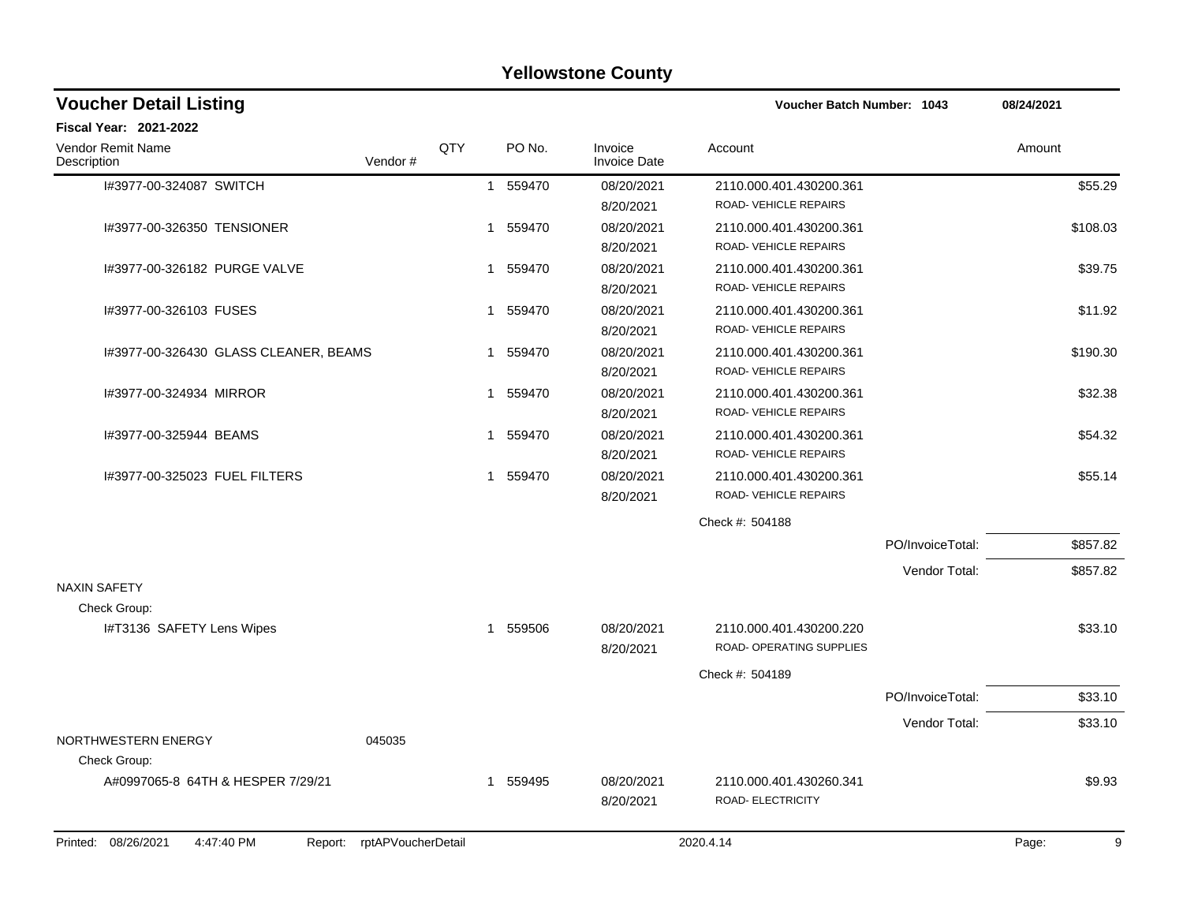| <b>Yellowstone County</b> |  |
|---------------------------|--|
|---------------------------|--|

| <b>Voucher Detail Listing</b>                |                    |             |          |                                | <b>Voucher Batch Number: 1043</b>                   |                  | 08/24/2021 |
|----------------------------------------------|--------------------|-------------|----------|--------------------------------|-----------------------------------------------------|------------------|------------|
| <b>Fiscal Year: 2021-2022</b>                |                    |             |          |                                |                                                     |                  |            |
| <b>Vendor Remit Name</b><br>Description      | Vendor#            | QTY         | PO No.   | Invoice<br><b>Invoice Date</b> | Account                                             |                  | Amount     |
| I#3977-00-324087 SWITCH                      |                    |             | 1 559470 | 08/20/2021<br>8/20/2021        | 2110.000.401.430200.361<br>ROAD-VEHICLE REPAIRS     |                  | \$55.29    |
| 1#3977-00-326350 TENSIONER                   |                    |             | 1 559470 | 08/20/2021<br>8/20/2021        | 2110.000.401.430200.361<br>ROAD-VEHICLE REPAIRS     |                  | \$108.03   |
| I#3977-00-326182 PURGE VALVE                 |                    |             | 1 559470 | 08/20/2021<br>8/20/2021        | 2110.000.401.430200.361<br>ROAD-VEHICLE REPAIRS     |                  | \$39.75    |
| I#3977-00-326103 FUSES                       |                    | 1           | 559470   | 08/20/2021<br>8/20/2021        | 2110.000.401.430200.361<br>ROAD-VEHICLE REPAIRS     |                  | \$11.92    |
| I#3977-00-326430 GLASS CLEANER, BEAMS        |                    | -1          | 559470   | 08/20/2021<br>8/20/2021        | 2110.000.401.430200.361<br>ROAD-VEHICLE REPAIRS     |                  | \$190.30   |
| 1#3977-00-324934 MIRROR                      |                    | $\mathbf 1$ | 559470   | 08/20/2021<br>8/20/2021        | 2110.000.401.430200.361<br>ROAD-VEHICLE REPAIRS     |                  | \$32.38    |
| I#3977-00-325944 BEAMS                       |                    | 1           | 559470   | 08/20/2021<br>8/20/2021        | 2110.000.401.430200.361<br>ROAD-VEHICLE REPAIRS     |                  | \$54.32    |
| I#3977-00-325023 FUEL FILTERS                |                    |             | 1 559470 | 08/20/2021<br>8/20/2021        | 2110.000.401.430200.361<br>ROAD-VEHICLE REPAIRS     |                  | \$55.14    |
|                                              |                    |             |          |                                | Check #: 504188                                     |                  |            |
|                                              |                    |             |          |                                |                                                     | PO/InvoiceTotal: | \$857.82   |
|                                              |                    |             |          |                                |                                                     | Vendor Total:    | \$857.82   |
| <b>NAXIN SAFETY</b>                          |                    |             |          |                                |                                                     |                  |            |
| Check Group:<br>I#T3136 SAFETY Lens Wipes    |                    |             | 1 559506 | 08/20/2021<br>8/20/2021        | 2110.000.401.430200.220<br>ROAD- OPERATING SUPPLIES |                  | \$33.10    |
|                                              |                    |             |          |                                | Check #: 504189                                     |                  |            |
|                                              |                    |             |          |                                |                                                     | PO/InvoiceTotal: | \$33.10    |
|                                              |                    |             |          |                                |                                                     | Vendor Total:    | \$33.10    |
| NORTHWESTERN ENERGY<br>Check Group:          | 045035             |             |          |                                |                                                     |                  |            |
| A#0997065-8 64TH & HESPER 7/29/21            |                    |             | 1 559495 | 08/20/2021<br>8/20/2021        | 2110.000.401.430260.341<br>ROAD- ELECTRICITY        |                  | \$9.93     |
| 4:47:40 PM<br>Printed: 08/26/2021<br>Report: | rptAPVoucherDetail |             |          |                                | 2020.4.14                                           |                  | 9<br>Page: |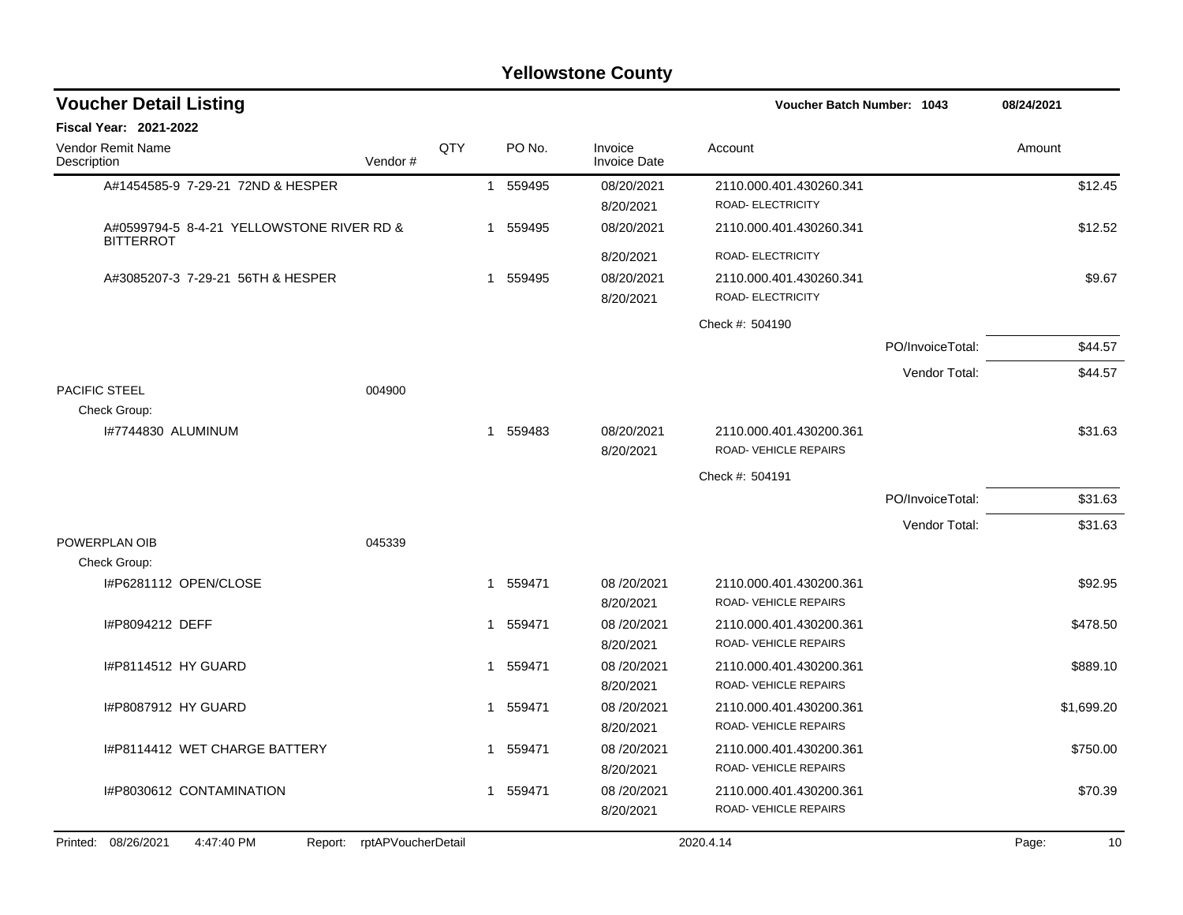| <b>Voucher Detail Listing</b>                                 |                            |     |          |                                | Voucher Batch Number: 1043                          |                  | 08/24/2021 |            |
|---------------------------------------------------------------|----------------------------|-----|----------|--------------------------------|-----------------------------------------------------|------------------|------------|------------|
| <b>Fiscal Year: 2021-2022</b>                                 |                            |     |          |                                |                                                     |                  |            |            |
| Vendor Remit Name<br>Description                              | Vendor#                    | QTY | PO No.   | Invoice<br><b>Invoice Date</b> | Account                                             |                  | Amount     |            |
| A#1454585-9 7-29-21 72ND & HESPER                             |                            |     | 1 559495 | 08/20/2021<br>8/20/2021        | 2110.000.401.430260.341<br>ROAD- ELECTRICITY        |                  |            | \$12.45    |
| A#0599794-5 8-4-21 YELLOWSTONE RIVER RD &<br><b>BITTERROT</b> |                            |     | 1 559495 | 08/20/2021                     | 2110.000.401.430260.341                             |                  |            | \$12.52    |
|                                                               |                            |     |          | 8/20/2021                      | ROAD- ELECTRICITY                                   |                  |            |            |
| A#3085207-3 7-29-21 56TH & HESPER                             |                            |     | 1 559495 | 08/20/2021<br>8/20/2021        | 2110.000.401.430260.341<br><b>ROAD- ELECTRICITY</b> |                  |            | \$9.67     |
|                                                               |                            |     |          |                                | Check #: 504190                                     |                  |            |            |
|                                                               |                            |     |          |                                |                                                     | PO/InvoiceTotal: |            | \$44.57    |
| <b>PACIFIC STEEL</b>                                          | 004900                     |     |          |                                |                                                     | Vendor Total:    |            | \$44.57    |
| Check Group:                                                  |                            |     |          |                                |                                                     |                  |            |            |
| I#7744830 ALUMINUM                                            |                            |     | 1 559483 | 08/20/2021<br>8/20/2021        | 2110.000.401.430200.361<br>ROAD-VEHICLE REPAIRS     |                  |            | \$31.63    |
|                                                               |                            |     |          |                                | Check #: 504191                                     |                  |            |            |
|                                                               |                            |     |          |                                |                                                     | PO/InvoiceTotal: |            | \$31.63    |
| POWERPLAN OIB                                                 |                            |     |          |                                |                                                     | Vendor Total:    |            | \$31.63    |
| Check Group:                                                  | 045339                     |     |          |                                |                                                     |                  |            |            |
| I#P6281112 OPEN/CLOSE                                         |                            |     | 1 559471 | 08/20/2021<br>8/20/2021        | 2110.000.401.430200.361<br>ROAD-VEHICLE REPAIRS     |                  |            | \$92.95    |
| I#P8094212 DEFF                                               |                            |     | 1 559471 | 08/20/2021<br>8/20/2021        | 2110.000.401.430200.361<br>ROAD-VEHICLE REPAIRS     |                  |            | \$478.50   |
| I#P8114512 HY GUARD                                           |                            |     | 1 559471 | 08/20/2021<br>8/20/2021        | 2110.000.401.430200.361<br>ROAD-VEHICLE REPAIRS     |                  |            | \$889.10   |
| I#P8087912 HY GUARD                                           |                            |     | 1 559471 | 08/20/2021<br>8/20/2021        | 2110.000.401.430200.361<br>ROAD-VEHICLE REPAIRS     |                  |            | \$1,699.20 |
| I#P8114412 WET CHARGE BATTERY                                 |                            |     | 1 559471 | 08/20/2021<br>8/20/2021        | 2110.000.401.430200.361<br>ROAD-VEHICLE REPAIRS     |                  |            | \$750.00   |
| I#P8030612 CONTAMINATION                                      |                            |     | 1 559471 | 08/20/2021<br>8/20/2021        | 2110.000.401.430200.361<br>ROAD-VEHICLE REPAIRS     |                  |            | \$70.39    |
| Printed: 08/26/2021<br>4:47:40 PM                             | Report: rptAPVoucherDetail |     |          |                                | 2020.4.14                                           |                  | Page:      | 10         |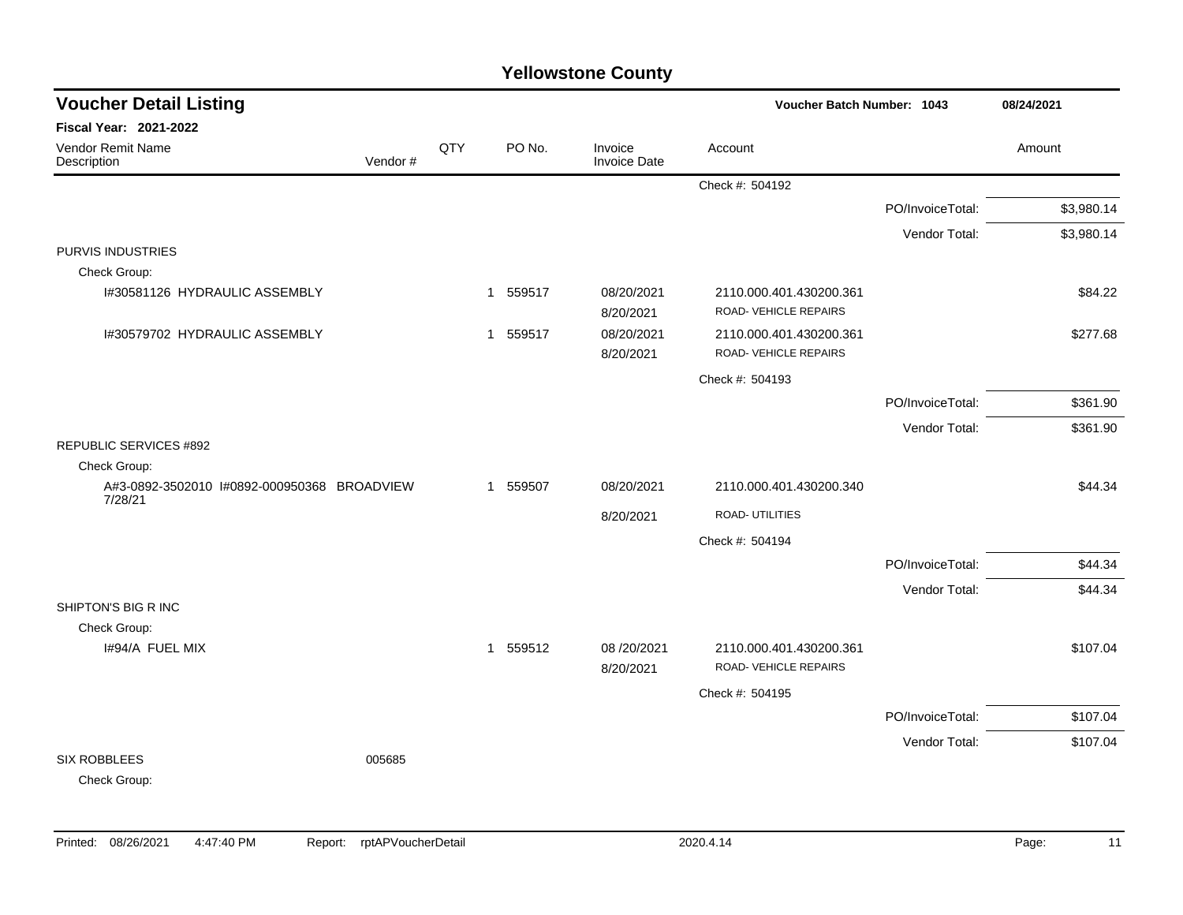| <b>Voucher Detail Listing</b>                          |         |     |                        |                         | Voucher Batch Number: 1043                       |                  | 08/24/2021 |  |
|--------------------------------------------------------|---------|-----|------------------------|-------------------------|--------------------------------------------------|------------------|------------|--|
| Fiscal Year: 2021-2022                                 |         |     |                        |                         |                                                  |                  |            |  |
| Vendor Remit Name<br>Description                       | Vendor# | QTY | PO No.                 | Invoice<br>Invoice Date | Account                                          |                  | Amount     |  |
|                                                        |         |     |                        |                         | Check #: 504192                                  |                  |            |  |
|                                                        |         |     |                        |                         |                                                  | PO/InvoiceTotal: | \$3,980.14 |  |
|                                                        |         |     |                        |                         |                                                  | Vendor Total:    | \$3,980.14 |  |
| <b>PURVIS INDUSTRIES</b>                               |         |     |                        |                         |                                                  |                  |            |  |
| Check Group:                                           |         |     |                        |                         |                                                  |                  |            |  |
| I#30581126 HYDRAULIC ASSEMBLY                          |         |     | 559517<br>$\mathbf{1}$ | 08/20/2021<br>8/20/2021 | 2110.000.401.430200.361<br>ROAD- VEHICLE REPAIRS |                  | \$84.22    |  |
| 1#30579702 HYDRAULIC ASSEMBLY                          |         |     | 1 559517               | 08/20/2021<br>8/20/2021 | 2110.000.401.430200.361<br>ROAD-VEHICLE REPAIRS  |                  | \$277.68   |  |
|                                                        |         |     |                        |                         | Check #: 504193                                  |                  |            |  |
|                                                        |         |     |                        |                         |                                                  | PO/InvoiceTotal: | \$361.90   |  |
|                                                        |         |     |                        |                         |                                                  | Vendor Total:    | \$361.90   |  |
| <b>REPUBLIC SERVICES #892</b>                          |         |     |                        |                         |                                                  |                  |            |  |
| Check Group:                                           |         |     |                        |                         |                                                  |                  |            |  |
| A#3-0892-3502010 I#0892-000950368 BROADVIEW<br>7/28/21 |         |     | 559507<br>$\mathbf{1}$ | 08/20/2021              | 2110.000.401.430200.340                          |                  | \$44.34    |  |
|                                                        |         |     |                        | 8/20/2021               | ROAD- UTILITIES                                  |                  |            |  |
|                                                        |         |     |                        |                         | Check #: 504194                                  |                  |            |  |
|                                                        |         |     |                        |                         |                                                  | PO/InvoiceTotal: | \$44.34    |  |
|                                                        |         |     |                        |                         |                                                  | Vendor Total:    | \$44.34    |  |
| SHIPTON'S BIG R INC                                    |         |     |                        |                         |                                                  |                  |            |  |
| Check Group:<br>I#94/A FUEL MIX                        |         |     | 1 559512               | 08/20/2021              | 2110.000.401.430200.361                          |                  | \$107.04   |  |
|                                                        |         |     |                        | 8/20/2021               | ROAD-VEHICLE REPAIRS                             |                  |            |  |
|                                                        |         |     |                        |                         | Check #: 504195                                  |                  |            |  |
|                                                        |         |     |                        |                         |                                                  | PO/InvoiceTotal: | \$107.04   |  |
|                                                        |         |     |                        |                         |                                                  | Vendor Total:    | \$107.04   |  |
| <b>SIX ROBBLEES</b><br>Check Group:                    | 005685  |     |                        |                         |                                                  |                  |            |  |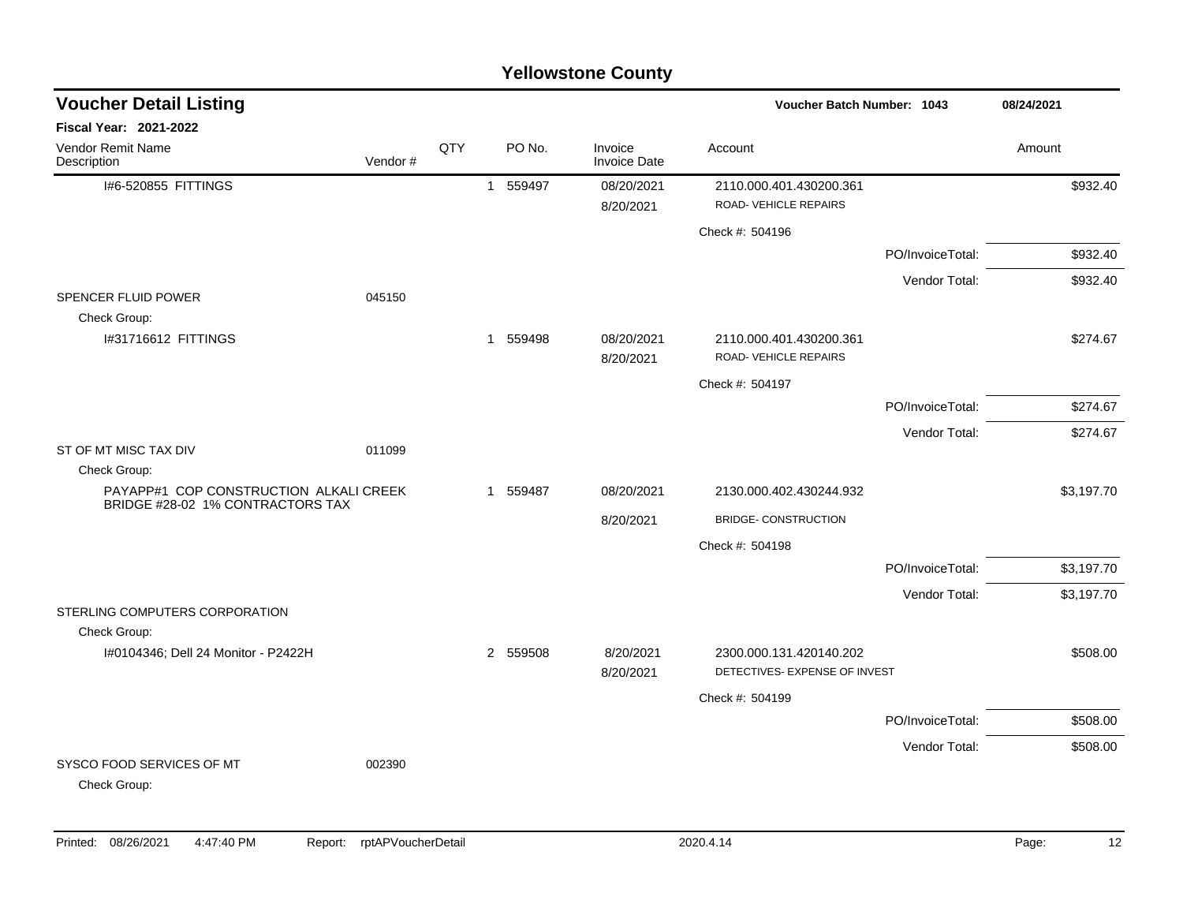| <b>Voucher Detail Listing</b>                                              |         |     |   |          |                                |                                                          | <b>Voucher Batch Number: 1043</b> |            |
|----------------------------------------------------------------------------|---------|-----|---|----------|--------------------------------|----------------------------------------------------------|-----------------------------------|------------|
| Fiscal Year: 2021-2022                                                     |         |     |   |          |                                |                                                          |                                   |            |
| Vendor Remit Name<br>Description                                           | Vendor# | QTY |   | PO No.   | Invoice<br><b>Invoice Date</b> | Account                                                  |                                   | Amount     |
| I#6-520855 FITTINGS                                                        |         |     |   | 1 559497 | 08/20/2021<br>8/20/2021        | 2110.000.401.430200.361<br><b>ROAD- VEHICLE REPAIRS</b>  |                                   | \$932.40   |
|                                                                            |         |     |   |          |                                | Check #: 504196                                          |                                   |            |
|                                                                            |         |     |   |          |                                |                                                          | PO/InvoiceTotal:                  | \$932.40   |
|                                                                            |         |     |   |          |                                |                                                          | Vendor Total:                     | \$932.40   |
| SPENCER FLUID POWER<br>Check Group:                                        | 045150  |     |   |          |                                |                                                          |                                   |            |
| I#31716612 FITTINGS                                                        |         |     |   | 1 559498 | 08/20/2021<br>8/20/2021        | 2110.000.401.430200.361<br>ROAD-VEHICLE REPAIRS          |                                   | \$274.67   |
|                                                                            |         |     |   |          |                                | Check #: 504197                                          |                                   |            |
|                                                                            |         |     |   |          |                                |                                                          | PO/InvoiceTotal:                  | \$274.67   |
|                                                                            |         |     |   |          |                                |                                                          | Vendor Total:                     | \$274.67   |
| ST OF MT MISC TAX DIV<br>Check Group:                                      | 011099  |     |   |          |                                |                                                          |                                   |            |
| PAYAPP#1 COP CONSTRUCTION ALKALI CREEK<br>BRIDGE #28-02 1% CONTRACTORS TAX |         |     | 1 | 559487   | 08/20/2021                     | 2130.000.402.430244.932                                  |                                   | \$3,197.70 |
|                                                                            |         |     |   |          | 8/20/2021                      | <b>BRIDGE- CONSTRUCTION</b>                              |                                   |            |
|                                                                            |         |     |   |          |                                | Check #: 504198                                          |                                   |            |
|                                                                            |         |     |   |          |                                |                                                          | PO/InvoiceTotal:                  | \$3,197.70 |
|                                                                            |         |     |   |          |                                |                                                          | Vendor Total:                     | \$3,197.70 |
| STERLING COMPUTERS CORPORATION<br>Check Group:                             |         |     |   |          |                                |                                                          |                                   |            |
| I#0104346; Dell 24 Monitor - P2422H                                        |         |     |   | 2 559508 | 8/20/2021<br>8/20/2021         | 2300.000.131.420140.202<br>DETECTIVES- EXPENSE OF INVEST |                                   | \$508.00   |
|                                                                            |         |     |   |          |                                | Check #: 504199                                          |                                   |            |
|                                                                            |         |     |   |          |                                |                                                          | PO/InvoiceTotal:                  | \$508.00   |
|                                                                            |         |     |   |          |                                |                                                          | Vendor Total:                     | \$508.00   |
| SYSCO FOOD SERVICES OF MT<br>Check Group:                                  | 002390  |     |   |          |                                |                                                          |                                   |            |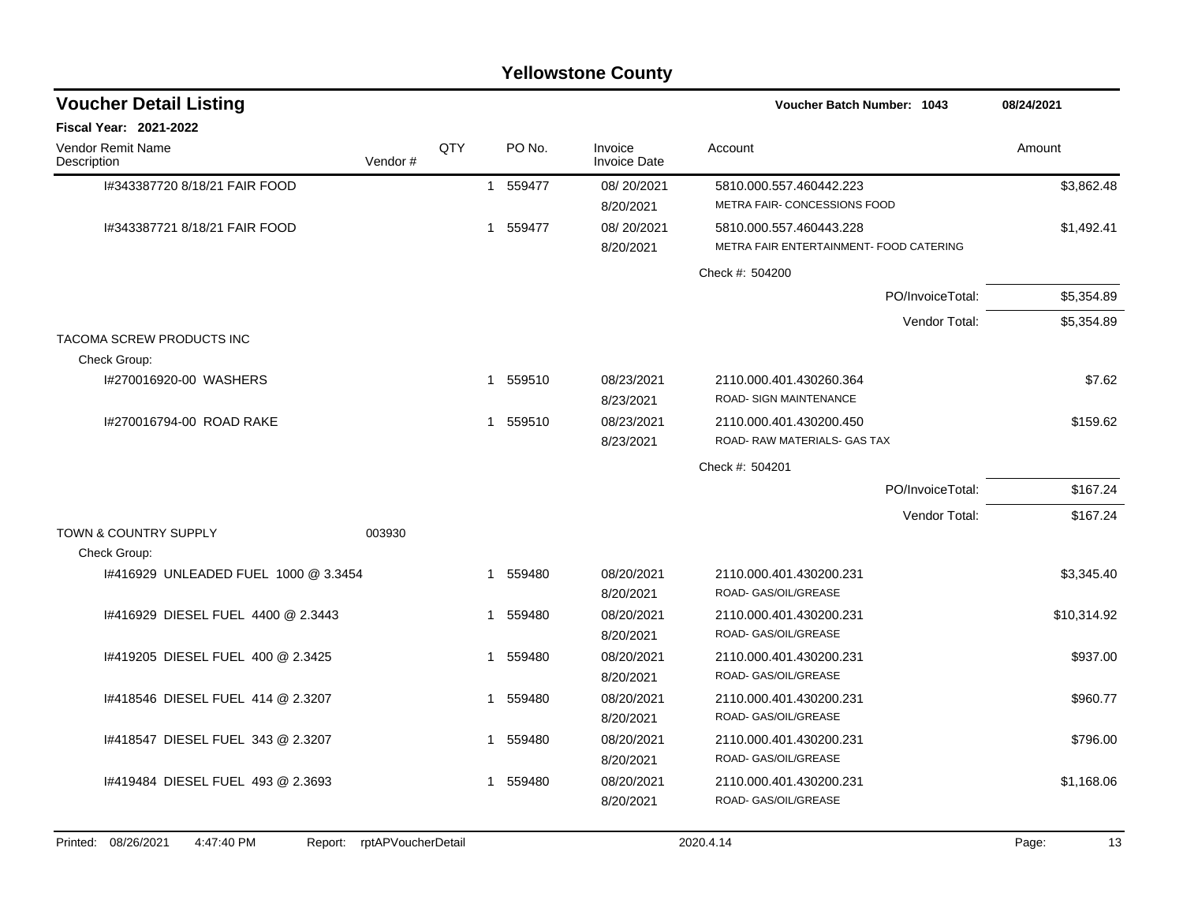|                                                      |                            |     |                          | <b>Yellowstone County</b>      |                                                         |             |
|------------------------------------------------------|----------------------------|-----|--------------------------|--------------------------------|---------------------------------------------------------|-------------|
| <b>Voucher Detail Listing</b>                        |                            |     |                          |                                | <b>Voucher Batch Number: 1043</b>                       | 08/24/2021  |
| <b>Fiscal Year: 2021-2022</b>                        |                            |     |                          |                                |                                                         |             |
| Vendor Remit Name<br>Description                     | Vendor#                    | QTY | PO No.                   | Invoice<br><b>Invoice Date</b> | Account                                                 | Amount      |
| 1#343387720 8/18/21 FAIR FOOD                        |                            |     | 1 559477                 | 08/20/2021                     | 5810.000.557.460442.223                                 | \$3,862.48  |
|                                                      |                            |     |                          | 8/20/2021                      | METRA FAIR- CONCESSIONS FOOD                            |             |
| 1#343387721 8/18/21 FAIR FOOD                        |                            |     | 559477<br>1              | 08/20/2021                     | 5810.000.557.460443.228                                 | \$1,492.41  |
|                                                      |                            |     |                          | 8/20/2021                      | METRA FAIR ENTERTAINMENT- FOOD CATERING                 |             |
|                                                      |                            |     |                          |                                | Check #: 504200                                         |             |
|                                                      |                            |     |                          |                                | PO/InvoiceTotal:                                        | \$5,354.89  |
|                                                      |                            |     |                          |                                | Vendor Total:                                           | \$5,354.89  |
| TACOMA SCREW PRODUCTS INC                            |                            |     |                          |                                |                                                         |             |
| Check Group:                                         |                            |     |                          |                                |                                                         |             |
| I#270016920-00 WASHERS                               |                            |     | 559510<br>1              | 08/23/2021                     | 2110.000.401.430260.364                                 | \$7.62      |
|                                                      |                            |     |                          | 8/23/2021                      | <b>ROAD- SIGN MAINTENANCE</b>                           |             |
| I#270016794-00 ROAD RAKE                             |                            |     | 1 559510                 | 08/23/2021                     | 2110.000.401.430200.450<br>ROAD- RAW MATERIALS- GAS TAX | \$159.62    |
|                                                      |                            |     |                          | 8/23/2021                      |                                                         |             |
|                                                      |                            |     |                          |                                | Check #: 504201                                         |             |
|                                                      |                            |     |                          |                                | PO/InvoiceTotal:                                        | \$167.24    |
|                                                      |                            |     |                          |                                | Vendor Total:                                           | \$167.24    |
| TOWN & COUNTRY SUPPLY                                | 003930                     |     |                          |                                |                                                         |             |
| Check Group:<br>1#416929 UNLEADED FUEL 1000 @ 3.3454 |                            |     |                          | 08/20/2021                     |                                                         |             |
|                                                      |                            |     | 1 559480                 | 8/20/2021                      | 2110.000.401.430200.231<br>ROAD- GAS/OIL/GREASE         | \$3,345.40  |
| 1#416929 DIESEL FUEL 4400 @ 2.3443                   |                            |     | 559480<br>1              | 08/20/2021                     | 2110.000.401.430200.231                                 | \$10,314.92 |
|                                                      |                            |     |                          | 8/20/2021                      | ROAD- GAS/OIL/GREASE                                    |             |
| 1#419205 DIESEL FUEL 400 @ 2.3425                    |                            |     | 559480<br>$\overline{1}$ | 08/20/2021                     | 2110.000.401.430200.231                                 | \$937.00    |
|                                                      |                            |     |                          | 8/20/2021                      | ROAD- GAS/OIL/GREASE                                    |             |
| 1#418546 DIESEL FUEL 414 @ 2.3207                    |                            |     | 559480<br>-1             | 08/20/2021                     | 2110.000.401.430200.231                                 | \$960.77    |
|                                                      |                            |     |                          | 8/20/2021                      | ROAD- GAS/OIL/GREASE                                    |             |
| 1#418547 DIESEL FUEL 343 @ 2.3207                    |                            |     | 1 559480                 | 08/20/2021                     | 2110.000.401.430200.231                                 | \$796.00    |
|                                                      |                            |     |                          | 8/20/2021                      | ROAD- GAS/OIL/GREASE                                    |             |
| 1#419484 DIESEL FUEL 493 @ 2.3693                    |                            |     | 1 559480                 | 08/20/2021                     | 2110.000.401.430200.231                                 | \$1,168.06  |
|                                                      |                            |     |                          | 8/20/2021                      | ROAD- GAS/OIL/GREASE                                    |             |
|                                                      |                            |     |                          |                                |                                                         |             |
| Printed: 08/26/2021<br>4:47:40 PM                    | Report: rptAPVoucherDetail |     |                          |                                | 2020.4.14                                               | Page:<br>13 |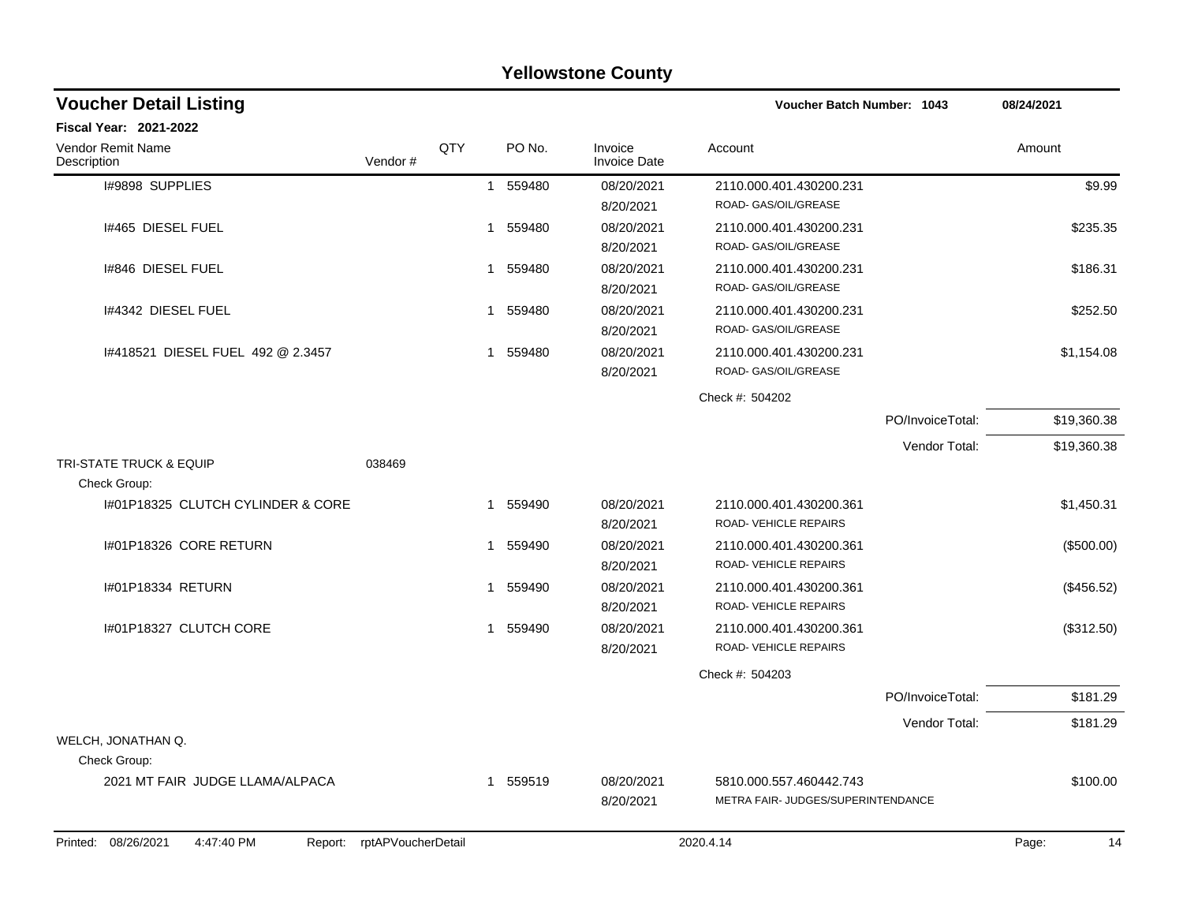|                                                 |                    |              |          | ו סווטאסנטווס טטעוונץ          |                                                               |                            |             |  |
|-------------------------------------------------|--------------------|--------------|----------|--------------------------------|---------------------------------------------------------------|----------------------------|-------------|--|
| <b>Voucher Detail Listing</b>                   |                    |              |          |                                |                                                               | Voucher Batch Number: 1043 |             |  |
| <b>Fiscal Year: 2021-2022</b>                   |                    |              |          |                                |                                                               |                            |             |  |
| <b>Vendor Remit Name</b><br>Description         | Vendor#            | QTY          | PO No.   | Invoice<br><b>Invoice Date</b> | Account                                                       |                            | Amount      |  |
| I#9898 SUPPLIES                                 |                    | $\mathbf{1}$ | 559480   | 08/20/2021<br>8/20/2021        | 2110.000.401.430200.231<br>ROAD- GAS/OIL/GREASE               |                            | \$9.99      |  |
| I#465 DIESEL FUEL                               |                    | $\mathbf 1$  | 559480   | 08/20/2021<br>8/20/2021        | 2110.000.401.430200.231<br>ROAD- GAS/OIL/GREASE               |                            | \$235.35    |  |
| 1#846 DIESEL FUEL                               |                    | $\mathbf{1}$ | 559480   | 08/20/2021<br>8/20/2021        | 2110.000.401.430200.231<br>ROAD- GAS/OIL/GREASE               |                            | \$186.31    |  |
| 1#4342 DIESEL FUEL                              |                    | $\mathbf 1$  | 559480   | 08/20/2021<br>8/20/2021        | 2110.000.401.430200.231<br>ROAD- GAS/OIL/GREASE               |                            | \$252.50    |  |
| 1#418521 DIESEL FUEL 492 @ 2.3457               |                    | $\mathbf 1$  | 559480   | 08/20/2021<br>8/20/2021        | 2110.000.401.430200.231<br>ROAD- GAS/OIL/GREASE               |                            | \$1,154.08  |  |
|                                                 |                    |              |          |                                | Check #: 504202                                               |                            |             |  |
|                                                 |                    |              |          |                                |                                                               | PO/InvoiceTotal:           | \$19,360.38 |  |
|                                                 |                    |              |          |                                |                                                               | Vendor Total:              | \$19,360.38 |  |
| TRI-STATE TRUCK & EQUIP<br>Check Group:         | 038469             |              |          |                                |                                                               |                            |             |  |
| 1#01P18325 CLUTCH CYLINDER & CORE               |                    | $\mathbf 1$  | 559490   | 08/20/2021<br>8/20/2021        | 2110.000.401.430200.361<br>ROAD- VEHICLE REPAIRS              |                            | \$1,450.31  |  |
| 1#01P18326 CORE RETURN                          |                    | $\mathbf{1}$ | 559490   | 08/20/2021<br>8/20/2021        | 2110.000.401.430200.361<br>ROAD- VEHICLE REPAIRS              |                            | (\$500.00)  |  |
| #01P18334 RETURN                                |                    | $\mathbf{1}$ | 559490   | 08/20/2021<br>8/20/2021        | 2110.000.401.430200.361<br>ROAD- VEHICLE REPAIRS              |                            | (\$456.52)  |  |
| I#01P18327 CLUTCH CORE                          |                    | $\mathbf{1}$ | 559490   | 08/20/2021<br>8/20/2021        | 2110.000.401.430200.361<br>ROAD-VEHICLE REPAIRS               |                            | (\$312.50)  |  |
|                                                 |                    |              |          |                                | Check #: 504203                                               |                            |             |  |
|                                                 |                    |              |          |                                |                                                               | PO/InvoiceTotal:           | \$181.29    |  |
|                                                 |                    |              |          |                                |                                                               | Vendor Total:              | \$181.29    |  |
| WELCH, JONATHAN Q.                              |                    |              |          |                                |                                                               |                            |             |  |
| Check Group:                                    |                    |              |          |                                |                                                               |                            |             |  |
| 2021 MT FAIR JUDGE LLAMA/ALPACA                 |                    |              | 1 559519 | 08/20/2021<br>8/20/2021        | 5810.000.557.460442.743<br>METRA FAIR- JUDGES/SUPERINTENDANCE |                            | \$100.00    |  |
| Printed:<br>08/26/2021<br>4:47:40 PM<br>Report: | rptAPVoucherDetail |              |          |                                | 2020.4.14                                                     |                            | 14<br>Page: |  |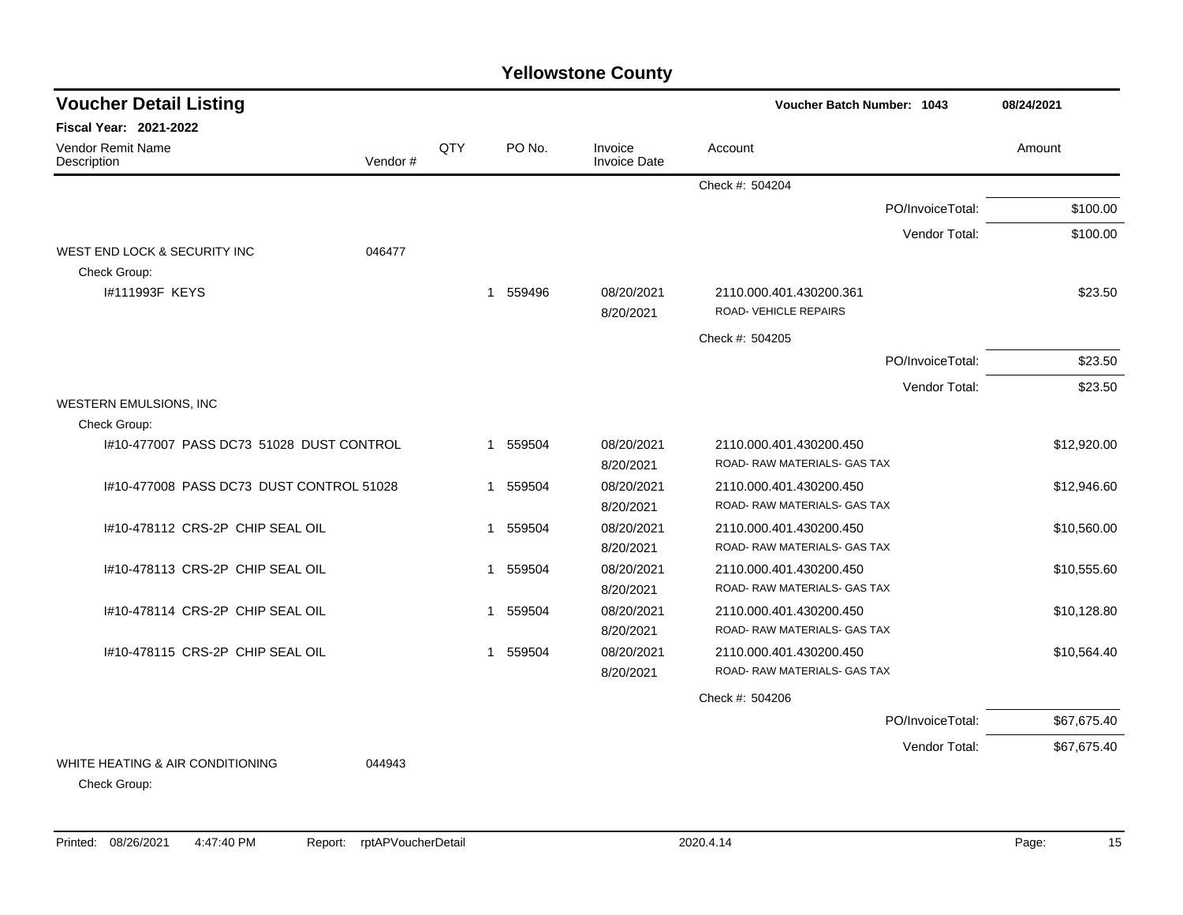| <b>Voucher Detail Listing</b>                    |                                         |              |                       |                                | Voucher Batch Number: 1043   | 08/24/2021       |             |
|--------------------------------------------------|-----------------------------------------|--------------|-----------------------|--------------------------------|------------------------------|------------------|-------------|
| <b>Fiscal Year: 2021-2022</b>                    |                                         |              |                       |                                |                              |                  |             |
| Vendor Remit Name<br>Description                 | Vendor#                                 | QTY          | PO No.                | Invoice<br><b>Invoice Date</b> | Account                      |                  | Amount      |
|                                                  |                                         |              |                       |                                | Check #: 504204              |                  |             |
|                                                  |                                         |              |                       |                                |                              | PO/InvoiceTotal: | \$100.00    |
|                                                  |                                         |              |                       |                                |                              | Vendor Total:    | \$100.00    |
| WEST END LOCK & SECURITY INC                     | 046477                                  |              |                       |                                |                              |                  |             |
| Check Group:                                     |                                         |              |                       |                                |                              |                  |             |
| 1#111993F KEYS                                   |                                         |              | 1 559496              | 08/20/2021                     | 2110.000.401.430200.361      |                  | \$23.50     |
|                                                  |                                         |              |                       | 8/20/2021                      | ROAD-VEHICLE REPAIRS         |                  |             |
|                                                  |                                         |              |                       |                                | Check #: 504205              |                  |             |
|                                                  |                                         |              |                       |                                |                              | PO/InvoiceTotal: | \$23.50     |
|                                                  |                                         |              |                       |                                |                              | Vendor Total:    | \$23.50     |
| WESTERN EMULSIONS, INC                           |                                         |              |                       |                                |                              |                  |             |
| Check Group:                                     |                                         |              |                       |                                |                              |                  |             |
| I#10-477007 PASS DC73 51028 DUST CONTROL         |                                         |              | 1 559504              | 08/20/2021                     | 2110.000.401.430200.450      |                  | \$12,920.00 |
|                                                  |                                         |              |                       | 8/20/2021                      | ROAD- RAW MATERIALS- GAS TAX |                  |             |
|                                                  | #10-477008 PASS DC73 DUST CONTROL 51028 |              | 559504<br>$\mathbf 1$ | 08/20/2021                     | 2110.000.401.430200.450      |                  | \$12,946.60 |
|                                                  |                                         |              |                       | 8/20/2021                      | ROAD-RAW MATERIALS- GAS TAX  |                  |             |
| 1#10-478112 CRS-2P CHIP SEAL OIL                 |                                         | $\mathbf 1$  | 559504                | 08/20/2021                     | 2110.000.401.430200.450      |                  | \$10,560.00 |
|                                                  |                                         |              |                       | 8/20/2021                      | ROAD- RAW MATERIALS- GAS TAX |                  |             |
| 1#10-478113 CRS-2P CHIP SEAL OIL                 |                                         | $\mathbf{1}$ | 559504                | 08/20/2021                     | 2110.000.401.430200.450      |                  | \$10,555.60 |
|                                                  |                                         |              |                       | 8/20/2021                      | ROAD- RAW MATERIALS- GAS TAX |                  |             |
| I#10-478114 CRS-2P CHIP SEAL OIL                 |                                         | -1           | 559504                | 08/20/2021                     | 2110.000.401.430200.450      |                  | \$10,128.80 |
|                                                  |                                         |              |                       | 8/20/2021                      | ROAD- RAW MATERIALS- GAS TAX |                  |             |
| 1#10-478115 CRS-2P CHIP SEAL OIL                 |                                         | $\mathbf{1}$ | 559504                | 08/20/2021                     | 2110.000.401.430200.450      |                  | \$10,564.40 |
|                                                  |                                         |              |                       | 8/20/2021                      | ROAD- RAW MATERIALS- GAS TAX |                  |             |
|                                                  |                                         |              |                       |                                | Check #: 504206              |                  |             |
|                                                  |                                         |              |                       |                                |                              | PO/InvoiceTotal: | \$67,675.40 |
|                                                  |                                         |              |                       |                                |                              | Vendor Total:    | \$67,675.40 |
| WHITE HEATING & AIR CONDITIONING<br>Check Group: | 044943                                  |              |                       |                                |                              |                  |             |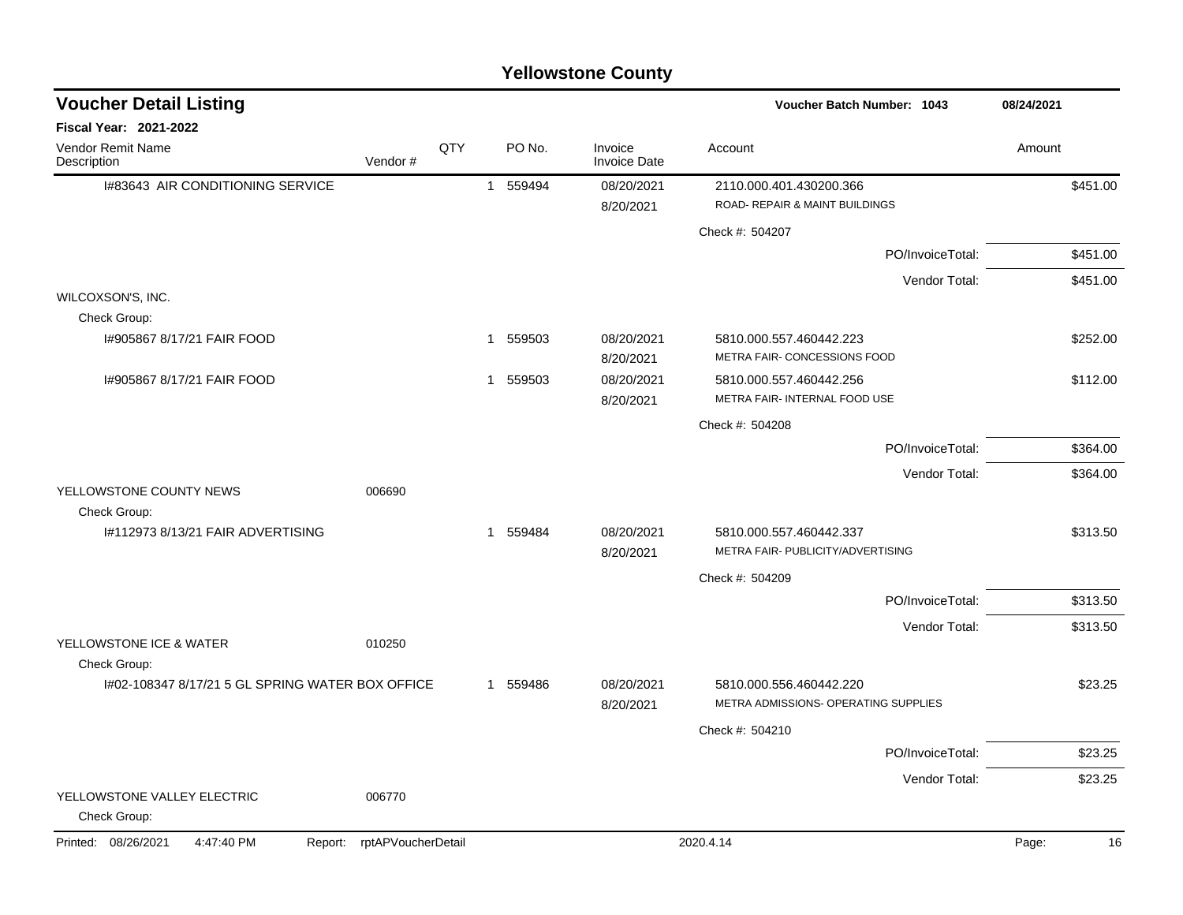|                                                  |                            |     |   |          | <b>Yellowstone County</b>      |                                                                 |                  |            |    |
|--------------------------------------------------|----------------------------|-----|---|----------|--------------------------------|-----------------------------------------------------------------|------------------|------------|----|
| <b>Voucher Detail Listing</b>                    |                            |     |   |          |                                | <b>Voucher Batch Number: 1043</b>                               |                  | 08/24/2021 |    |
| Fiscal Year: 2021-2022                           |                            |     |   |          |                                |                                                                 |                  |            |    |
| Vendor Remit Name<br>Description                 | Vendor#                    | QTY |   | PO No.   | Invoice<br><b>Invoice Date</b> | Account                                                         |                  | Amount     |    |
| I#83643 AIR CONDITIONING SERVICE                 |                            |     | 1 | 559494   | 08/20/2021                     | 2110.000.401.430200.366                                         |                  | \$451.00   |    |
|                                                  |                            |     |   |          | 8/20/2021                      | ROAD- REPAIR & MAINT BUILDINGS                                  |                  |            |    |
|                                                  |                            |     |   |          |                                | Check #: 504207                                                 |                  |            |    |
|                                                  |                            |     |   |          |                                |                                                                 | PO/InvoiceTotal: | \$451.00   |    |
|                                                  |                            |     |   |          |                                |                                                                 | Vendor Total:    | \$451.00   |    |
| WILCOXSON'S, INC.                                |                            |     |   |          |                                |                                                                 |                  |            |    |
| Check Group:                                     |                            |     |   |          |                                |                                                                 |                  |            |    |
| 1#905867 8/17/21 FAIR FOOD                       |                            |     | 1 | 559503   | 08/20/2021<br>8/20/2021        | 5810.000.557.460442.223<br>METRA FAIR- CONCESSIONS FOOD         |                  | \$252.00   |    |
| 1#905867 8/17/21 FAIR FOOD                       |                            |     |   | 1 559503 | 08/20/2021                     | 5810.000.557.460442.256                                         |                  | \$112.00   |    |
|                                                  |                            |     |   |          | 8/20/2021                      | METRA FAIR- INTERNAL FOOD USE                                   |                  |            |    |
|                                                  |                            |     |   |          |                                | Check #: 504208                                                 |                  |            |    |
|                                                  |                            |     |   |          |                                |                                                                 | PO/InvoiceTotal: | \$364.00   |    |
|                                                  |                            |     |   |          |                                |                                                                 | Vendor Total:    | \$364.00   |    |
| YELLOWSTONE COUNTY NEWS<br>Check Group:          | 006690                     |     |   |          |                                |                                                                 |                  |            |    |
| #112973 8/13/21 FAIR ADVERTISING                 |                            |     |   | 1 559484 | 08/20/2021<br>8/20/2021        | 5810.000.557.460442.337<br>METRA FAIR- PUBLICITY/ADVERTISING    |                  | \$313.50   |    |
|                                                  |                            |     |   |          |                                | Check #: 504209                                                 |                  |            |    |
|                                                  |                            |     |   |          |                                |                                                                 | PO/InvoiceTotal: | \$313.50   |    |
|                                                  |                            |     |   |          |                                |                                                                 | Vendor Total:    | \$313.50   |    |
| YELLOWSTONE ICE & WATER                          | 010250                     |     |   |          |                                |                                                                 |                  |            |    |
| Check Group:                                     |                            |     |   |          |                                |                                                                 |                  |            |    |
| 1#02-108347 8/17/21 5 GL SPRING WATER BOX OFFICE |                            |     |   | 1 559486 | 08/20/2021<br>8/20/2021        | 5810.000.556.460442.220<br>METRA ADMISSIONS- OPERATING SUPPLIES |                  | \$23.25    |    |
|                                                  |                            |     |   |          |                                | Check #: 504210                                                 |                  |            |    |
|                                                  |                            |     |   |          |                                |                                                                 | PO/InvoiceTotal: | \$23.25    |    |
|                                                  |                            |     |   |          |                                |                                                                 | Vendor Total:    | \$23.25    |    |
| YELLOWSTONE VALLEY ELECTRIC<br>Check Group:      | 006770                     |     |   |          |                                |                                                                 |                  |            |    |
| Printed: 08/26/2021<br>4:47:40 PM                | Report: rptAPVoucherDetail |     |   |          |                                | 2020.4.14                                                       |                  | Page:      | 16 |